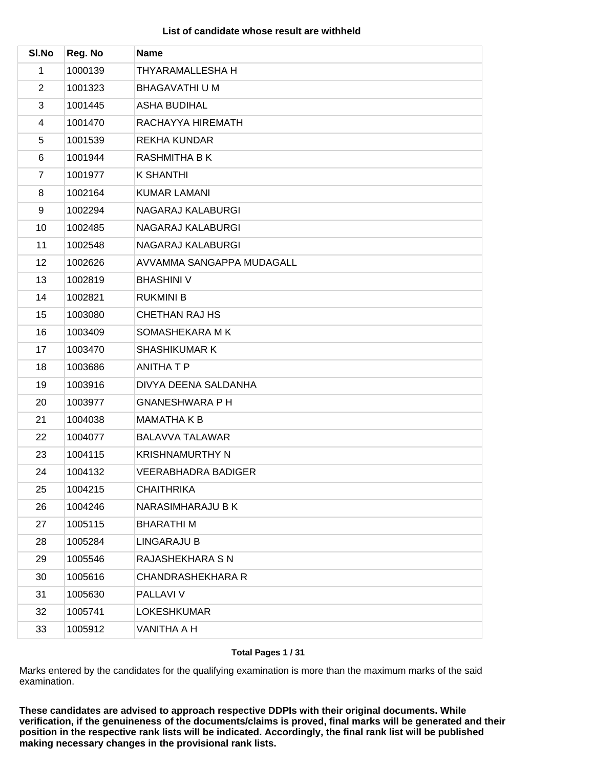# **List of candidate whose result are withheld**

| SI.No          | Reg. No | <b>Name</b>               |
|----------------|---------|---------------------------|
| 1              | 1000139 | THYARAMALLESHA H          |
| $\overline{2}$ | 1001323 | <b>BHAGAVATHI U M</b>     |
| 3              | 1001445 | <b>ASHA BUDIHAL</b>       |
| 4              | 1001470 | RACHAYYA HIREMATH         |
| 5              | 1001539 | <b>REKHA KUNDAR</b>       |
| 6              | 1001944 | <b>RASHMITHA B K</b>      |
| $\overline{7}$ | 1001977 | <b>K SHANTHI</b>          |
| 8              | 1002164 | <b>KUMAR LAMANI</b>       |
| 9              | 1002294 | NAGARAJ KALABURGI         |
| 10             | 1002485 | NAGARAJ KALABURGI         |
| 11             | 1002548 | NAGARAJ KALABURGI         |
| 12             | 1002626 | AVVAMMA SANGAPPA MUDAGALL |
| 13             | 1002819 | <b>BHASHINI V</b>         |
| 14             | 1002821 | <b>RUKMINI B</b>          |
| 15             | 1003080 | CHETHAN RAJ HS            |
| 16             | 1003409 | SOMASHEKARA M K           |
| 17             | 1003470 | <b>SHASHIKUMAR K</b>      |
| 18             | 1003686 | <b>ANITHATP</b>           |
| 19             | 1003916 | DIVYA DEENA SALDANHA      |
| 20             | 1003977 | <b>GNANESHWARA P H</b>    |
| 21             | 1004038 | <b>MAMATHAKB</b>          |
| 22             | 1004077 | <b>BALAVVA TALAWAR</b>    |
| 23             | 1004115 | <b>KRISHNAMURTHY N</b>    |
| 24             | 1004132 | VEERABHADRA BADIGER       |
| 25             | 1004215 | <b>CHAITHRIKA</b>         |
| 26             | 1004246 | NARASIMHARAJU B K         |
| 27             | 1005115 | <b>BHARATHIM</b>          |
| 28             | 1005284 | <b>LINGARAJU B</b>        |
| 29             | 1005546 | RAJASHEKHARA S N          |
| 30             | 1005616 | <b>CHANDRASHEKHARA R</b>  |
| 31             | 1005630 | PALLAVI V                 |
| 32             | 1005741 | <b>LOKESHKUMAR</b>        |
| 33             | 1005912 | VANITHA A H               |

## **Total Pages 1 / 31**

Marks entered by the candidates for the qualifying examination is more than the maximum marks of the said examination.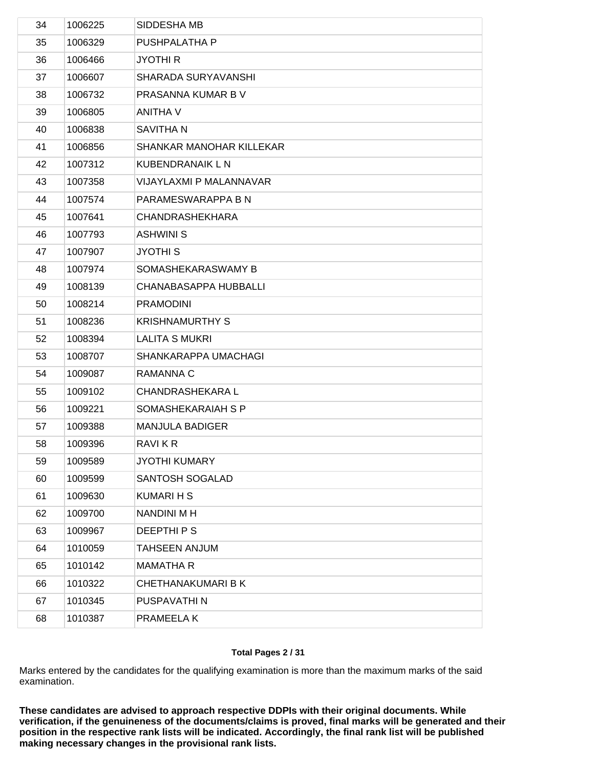| 34 | 1006225 | SIDDESHA MB                  |
|----|---------|------------------------------|
| 35 | 1006329 | PUSHPALATHA P                |
| 36 | 1006466 | <b>JYOTHI R</b>              |
| 37 | 1006607 | <b>SHARADA SURYAVANSHI</b>   |
| 38 | 1006732 | PRASANNA KUMAR B V           |
| 39 | 1006805 | <b>ANITHA V</b>              |
| 40 | 1006838 | SAVITHA N                    |
| 41 | 1006856 | SHANKAR MANOHAR KILLEKAR     |
| 42 | 1007312 | KUBENDRANAIK L N             |
| 43 | 1007358 | VIJAYLAXMI P MALANNAVAR      |
| 44 | 1007574 | PARAMESWARAPPA B N           |
| 45 | 1007641 | <b>CHANDRASHEKHARA</b>       |
| 46 | 1007793 | <b>ASHWINI S</b>             |
| 47 | 1007907 | <b>JYOTHIS</b>               |
| 48 | 1007974 | SOMASHEKARASWAMY B           |
| 49 | 1008139 | <b>CHANABASAPPA HUBBALLI</b> |
| 50 | 1008214 | <b>PRAMODINI</b>             |
| 51 | 1008236 | <b>KRISHNAMURTHY S</b>       |
| 52 | 1008394 | <b>LALITA S MUKRI</b>        |
| 53 | 1008707 | SHANKARAPPA UMACHAGI         |
| 54 | 1009087 | RAMANNA C                    |
| 55 | 1009102 | <b>CHANDRASHEKARA L</b>      |
| 56 | 1009221 | SOMASHEKARAIAH S P           |
| 57 | 1009388 | <b>MANJULA BADIGER</b>       |
| 58 | 1009396 | RAVI K R                     |
| 59 | 1009589 | <b>JYOTHI KUMARY</b>         |
| 60 | 1009599 | SANTOSH SOGALAD              |
| 61 | 1009630 | <b>KUMARIHS</b>              |
| 62 | 1009700 | <b>NANDINI MH</b>            |
| 63 | 1009967 | DEEPTHIPS                    |
| 64 | 1010059 | <b>TAHSEEN ANJUM</b>         |
| 65 | 1010142 | <b>MAMATHA R</b>             |
| 66 | 1010322 | <b>CHETHANAKUMARI B K</b>    |
| 67 | 1010345 | PUSPAVATHI N                 |
| 68 | 1010387 | PRAMEELA K                   |
|    |         |                              |

## **Total Pages 2 / 31**

Marks entered by the candidates for the qualifying examination is more than the maximum marks of the said examination.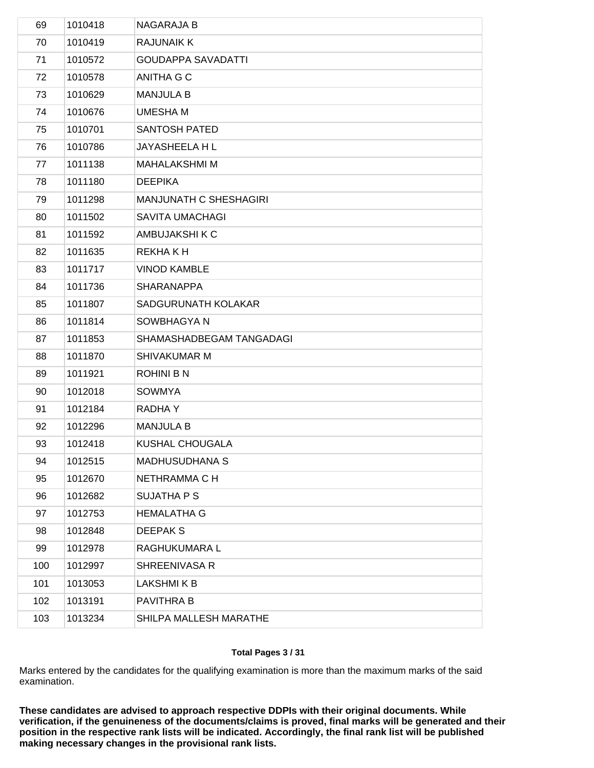| 69  | 1010418 | <b>NAGARAJA B</b>             |
|-----|---------|-------------------------------|
| 70  | 1010419 | <b>RAJUNAIK K</b>             |
| 71  | 1010572 | <b>GOUDAPPA SAVADATTI</b>     |
| 72  | 1010578 | ANITHA G C                    |
| 73  | 1010629 | <b>MANJULA B</b>              |
| 74  | 1010676 | <b>UMESHA M</b>               |
| 75  | 1010701 | <b>SANTOSH PATED</b>          |
| 76  | 1010786 | JAYASHEELA H L                |
| 77  | 1011138 | <b>MAHALAKSHMI M</b>          |
| 78  | 1011180 | <b>DEEPIKA</b>                |
| 79  | 1011298 | <b>MANJUNATH C SHESHAGIRI</b> |
| 80  | 1011502 | <b>SAVITA UMACHAGI</b>        |
| 81  | 1011592 | AMBUJAKSHI K C                |
| 82  | 1011635 | REKHA K H                     |
| 83  | 1011717 | <b>VINOD KAMBLE</b>           |
| 84  | 1011736 | <b>SHARANAPPA</b>             |
| 85  | 1011807 | SADGURUNATH KOLAKAR           |
| 86  | 1011814 | SOWBHAGYA N                   |
| 87  | 1011853 | SHAMASHADBEGAM TANGADAGI      |
| 88  | 1011870 | <b>SHIVAKUMAR M</b>           |
| 89  | 1011921 | <b>ROHINI B N</b>             |
| 90  | 1012018 | <b>SOWMYA</b>                 |
| 91  | 1012184 | <b>RADHAY</b>                 |
| 92  | 1012296 | <b>MANJULA B</b>              |
| 93  | 1012418 | KUSHAL CHOUGALA               |
| 94  | 1012515 | <b>MADHUSUDHANA S</b>         |
| 95  | 1012670 | NETHRAMMA C H                 |
| 96  | 1012682 | <b>SUJATHA P S</b>            |
| 97  | 1012753 | <b>HEMALATHA G</b>            |
| 98  | 1012848 | <b>DEEPAKS</b>                |
| 99  | 1012978 | RAGHUKUMARA L                 |
| 100 | 1012997 | SHREENIVASA R                 |
| 101 | 1013053 | <b>LAKSHMIKB</b>              |
| 102 | 1013191 | PAVITHRA B                    |
| 103 | 1013234 | SHILPA MALLESH MARATHE        |
|     |         |                               |

## **Total Pages 3 / 31**

Marks entered by the candidates for the qualifying examination is more than the maximum marks of the said examination.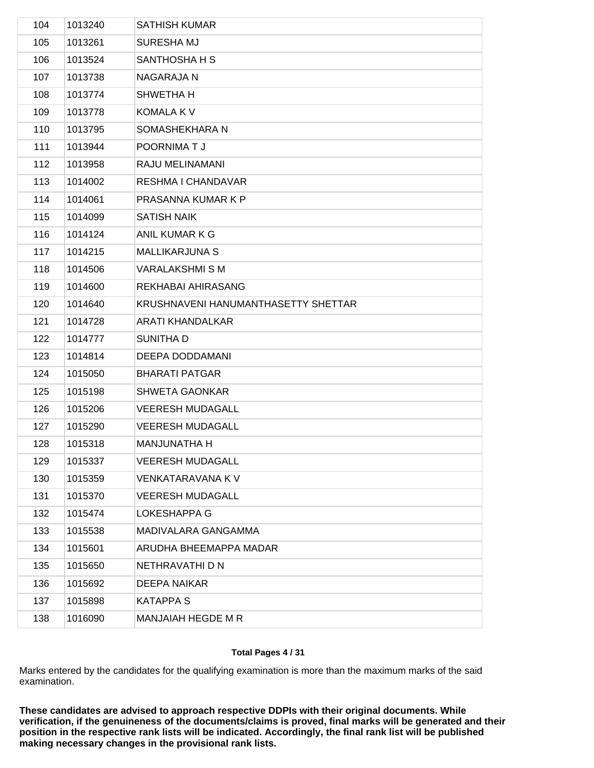| 104 | 1013240 | <b>SATHISH KUMAR</b>                |
|-----|---------|-------------------------------------|
| 105 | 1013261 | <b>SURESHA MJ</b>                   |
| 106 | 1013524 | SANTHOSHA H S                       |
| 107 | 1013738 | <b>NAGARAJA N</b>                   |
| 108 | 1013774 | SHWETHA H                           |
| 109 | 1013778 | <b>KOMALA K V</b>                   |
| 110 | 1013795 | SOMASHEKHARA N                      |
| 111 | 1013944 | POORNIMATJ                          |
| 112 | 1013958 | RAJU MELINAMANI                     |
| 113 | 1014002 | RESHMA I CHANDAVAR                  |
| 114 | 1014061 | PRASANNA KUMAR K P                  |
| 115 | 1014099 | <b>SATISH NAIK</b>                  |
| 116 | 1014124 | ANIL KUMAR K G                      |
| 117 | 1014215 | <b>MALLIKARJUNA S</b>               |
| 118 | 1014506 | <b>VARALAKSHMI S M</b>              |
| 119 | 1014600 | REKHABAI AHIRASANG                  |
| 120 | 1014640 | KRUSHNAVENI HANUMANTHASETTY SHETTAR |
| 121 | 1014728 | <b>ARATI KHANDALKAR</b>             |
| 122 | 1014777 | SUNITHA D                           |
| 123 | 1014814 | DEEPA DODDAMANI                     |
| 124 | 1015050 | <b>BHARATI PATGAR</b>               |
| 125 | 1015198 | <b>SHWETA GAONKAR</b>               |
| 126 | 1015206 | <b>VEERESH MUDAGALL</b>             |
| 127 | 1015290 | <b>VEERESH MUDAGALL</b>             |
| 128 | 1015318 | <b>MANJUNATHA H</b>                 |
| 129 | 1015337 | <b>VEERESH MUDAGALL</b>             |
| 130 | 1015359 | VENKATARAVANA K V                   |
| 131 | 1015370 | <b>VEERESH MUDAGALL</b>             |
| 132 | 1015474 | LOKESHAPPA G                        |
| 133 | 1015538 | MADIVALARA GANGAMMA                 |
| 134 | 1015601 | ARUDHA BHEEMAPPA MADAR              |
| 135 | 1015650 | NETHRAVATHI D N                     |
| 136 | 1015692 | <b>DEEPA NAIKAR</b>                 |
| 137 | 1015898 | <b>KATAPPA S</b>                    |
| 138 | 1016090 | MANJAIAH HEGDE M R                  |
|     |         |                                     |

## **Total Pages 4 / 31**

Marks entered by the candidates for the qualifying examination is more than the maximum marks of the said examination.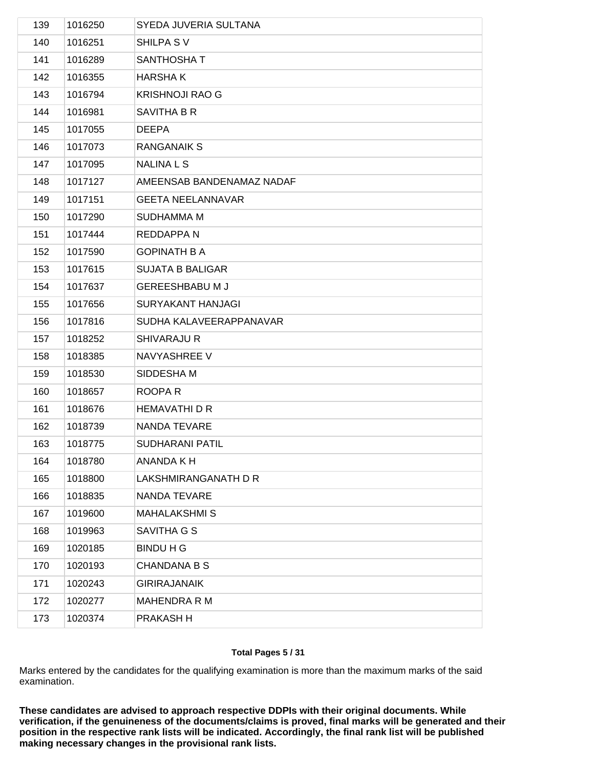| 139 | 1016250 | SYEDA JUVERIA SULTANA     |
|-----|---------|---------------------------|
| 140 | 1016251 | SHILPA SV                 |
| 141 | 1016289 | SANTHOSHA T               |
| 142 | 1016355 | <b>HARSHAK</b>            |
| 143 | 1016794 | <b>KRISHNOJI RAO G</b>    |
| 144 | 1016981 | SAVITHA B R               |
| 145 | 1017055 | <b>DEEPA</b>              |
| 146 | 1017073 | <b>RANGANAIK S</b>        |
| 147 | 1017095 | <b>NALINALS</b>           |
| 148 | 1017127 | AMEENSAB BANDENAMAZ NADAF |
| 149 | 1017151 | <b>GEETA NEELANNAVAR</b>  |
| 150 | 1017290 | <b>SUDHAMMA M</b>         |
| 151 | 1017444 | REDDAPPA N                |
| 152 | 1017590 | <b>GOPINATH B A</b>       |
| 153 | 1017615 | <b>SUJATA B BALIGAR</b>   |
| 154 | 1017637 | <b>GEREESHBABU M J</b>    |
| 155 | 1017656 | <b>SURYAKANT HANJAGI</b>  |
| 156 | 1017816 | SUDHA KALAVEERAPPANAVAR   |
| 157 | 1018252 | <b>SHIVARAJU R</b>        |
| 158 | 1018385 | NAVYASHREE V              |
| 159 | 1018530 | SIDDESHA M                |
| 160 | 1018657 | ROOPA R                   |
| 161 | 1018676 | <b>HEMAVATHI D R</b>      |
| 162 | 1018739 | NANDA TEVARE              |
| 163 | 1018775 | <b>SUDHARANI PATIL</b>    |
| 164 | 1018780 | ANANDA K H                |
| 165 | 1018800 | LAKSHMIRANGANATH D R      |
| 166 | 1018835 | NANDA TEVARE              |
| 167 | 1019600 | <b>MAHALAKSHMIS</b>       |
| 168 | 1019963 | SAVITHA G S               |
| 169 | 1020185 | <b>BINDU H G</b>          |
| 170 | 1020193 | <b>CHANDANA B S</b>       |
| 171 | 1020243 | <b>GIRIRAJANAIK</b>       |
| 172 | 1020277 | <b>MAHENDRA R M</b>       |
| 173 | 1020374 | PRAKASH H                 |
|     |         |                           |

## **Total Pages 5 / 31**

Marks entered by the candidates for the qualifying examination is more than the maximum marks of the said examination.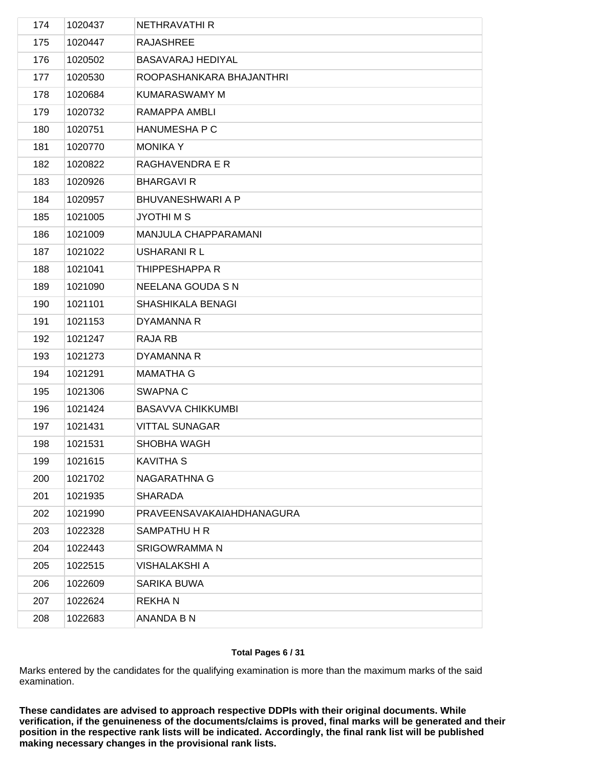| 174 | 1020437 | NETHRAVATHI R             |
|-----|---------|---------------------------|
| 175 | 1020447 | <b>RAJASHREE</b>          |
| 176 | 1020502 | BASAVARAJ HEDIYAL         |
| 177 | 1020530 | ROOPASHANKARA BHAJANTHRI  |
| 178 | 1020684 | <b>KUMARASWAMY M</b>      |
| 179 | 1020732 | RAMAPPA AMBLI             |
| 180 | 1020751 | HANUMESHA P C             |
| 181 | 1020770 | <b>MONIKA Y</b>           |
| 182 | 1020822 | RAGHAVENDRA E R           |
| 183 | 1020926 | <b>BHARGAVIR</b>          |
| 184 | 1020957 | <b>BHUVANESHWARI A P</b>  |
| 185 | 1021005 | <b>JYOTHIMS</b>           |
| 186 | 1021009 | MANJULA CHAPPARAMANI      |
| 187 | 1021022 | <b>USHARANI R L</b>       |
| 188 | 1021041 | THIPPESHAPPA R            |
| 189 | 1021090 | NEELANA GOUDA S N         |
| 190 | 1021101 | SHASHIKALA BENAGI         |
| 191 | 1021153 | DYAMANNA R                |
| 192 | 1021247 | RAJA RB                   |
| 193 | 1021273 | DYAMANNA R                |
| 194 | 1021291 | <b>MAMATHA G</b>          |
| 195 | 1021306 | SWAPNA C                  |
| 196 | 1021424 | <b>BASAVVA CHIKKUMBI</b>  |
| 197 | 1021431 | <b>VITTAL SUNAGAR</b>     |
| 198 | 1021531 | SHOBHA WAGH               |
| 199 | 1021615 | <b>KAVITHA S</b>          |
| 200 | 1021702 | NAGARATHNA G              |
| 201 | 1021935 | <b>SHARADA</b>            |
| 202 | 1021990 | PRAVEENSAVAKAIAHDHANAGURA |
| 203 | 1022328 | SAMPATHU H R              |
| 204 | 1022443 | SRIGOWRAMMA N             |
| 205 | 1022515 | <b>VISHALAKSHI A</b>      |
| 206 | 1022609 | SARIKA BUWA               |
| 207 | 1022624 | <b>REKHAN</b>             |
| 208 | 1022683 | ANANDA B N                |
|     |         |                           |

## **Total Pages 6 / 31**

Marks entered by the candidates for the qualifying examination is more than the maximum marks of the said examination.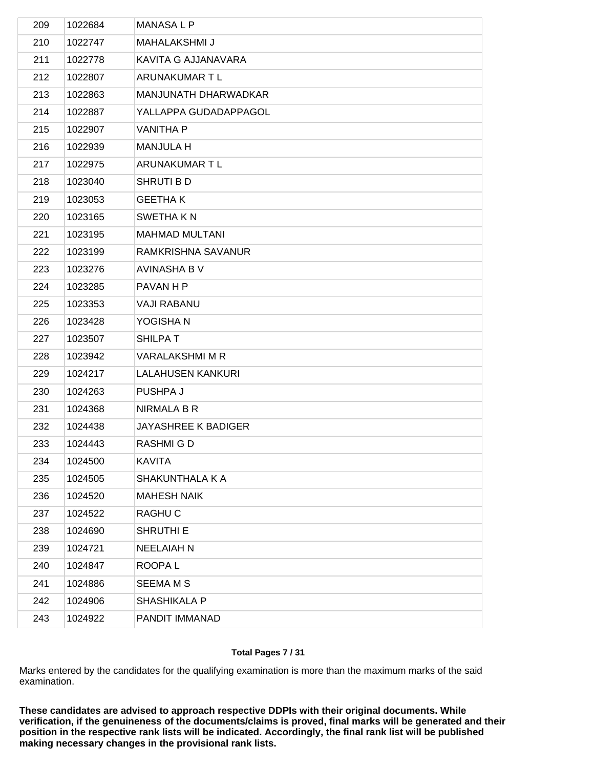| 209 | 1022684 | <b>MANASALP</b>             |
|-----|---------|-----------------------------|
| 210 | 1022747 | <b>MAHALAKSHMI J</b>        |
| 211 | 1022778 | KAVITA G AJJANAVARA         |
| 212 | 1022807 | ARUNAKUMAR T L              |
| 213 | 1022863 | <b>MANJUNATH DHARWADKAR</b> |
| 214 | 1022887 | YALLAPPA GUDADAPPAGOL       |
| 215 | 1022907 | <b>VANITHA P</b>            |
| 216 | 1022939 | <b>MANJULA H</b>            |
| 217 | 1022975 | ARUNAKUMAR T L              |
| 218 | 1023040 | SHRUTI B D                  |
| 219 | 1023053 | <b>GEETHAK</b>              |
| 220 | 1023165 | SWETHA K N                  |
| 221 | 1023195 | <b>MAHMAD MULTANI</b>       |
| 222 | 1023199 | RAMKRISHNA SAVANUR          |
| 223 | 1023276 | <b>AVINASHA B V</b>         |
| 224 | 1023285 | PAVAN H P                   |
| 225 | 1023353 | <b>VAJI RABANU</b>          |
| 226 | 1023428 | YOGISHA N                   |
| 227 | 1023507 | <b>SHILPAT</b>              |
| 228 | 1023942 | <b>VARALAKSHMI M R</b>      |
| 229 | 1024217 | <b>LALAHUSEN KANKURI</b>    |
| 230 | 1024263 | PUSHPA J                    |
| 231 | 1024368 | NIRMALA B R                 |
| 232 | 1024438 | <b>JAYASHREE K BADIGER</b>  |
| 233 | 1024443 | RASHMIGD                    |
| 234 | 1024500 | <b>KAVITA</b>               |
| 235 | 1024505 | SHAKUNTHALA K A             |
| 236 | 1024520 | <b>MAHESH NAIK</b>          |
| 237 | 1024522 | RAGHU C                     |
| 238 | 1024690 | <b>SHRUTHI E</b>            |
| 239 | 1024721 | <b>NEELAIAH N</b>           |
| 240 | 1024847 | ROOPA L                     |
| 241 | 1024886 | <b>SEEMA M S</b>            |
| 242 | 1024906 | <b>SHASHIKALA P</b>         |
| 243 | 1024922 | PANDIT IMMANAD              |
|     |         |                             |

## **Total Pages 7 / 31**

Marks entered by the candidates for the qualifying examination is more than the maximum marks of the said examination.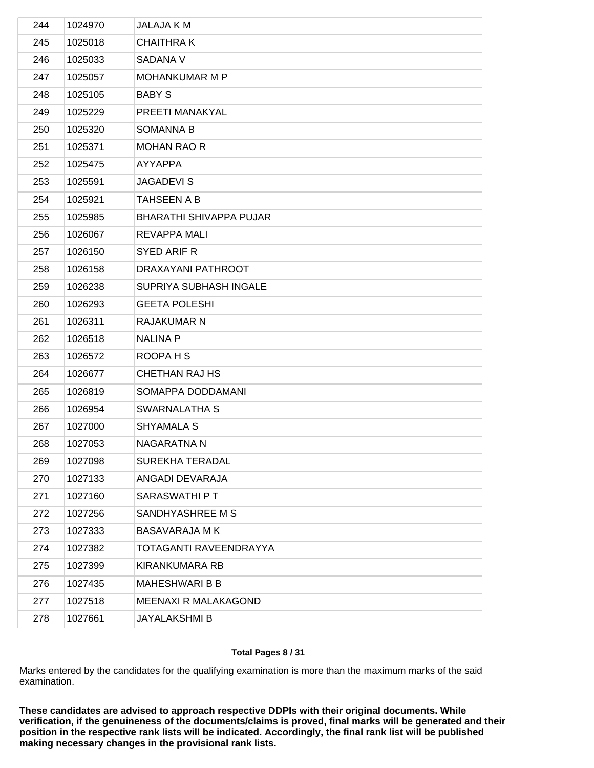| 244 | 1024970 | <b>JALAJA K M</b>              |
|-----|---------|--------------------------------|
| 245 | 1025018 | <b>CHAITHRAK</b>               |
| 246 | 1025033 | SADANA V                       |
| 247 | 1025057 | MOHANKUMAR M P                 |
| 248 | 1025105 | <b>BABY S</b>                  |
| 249 | 1025229 | PREETI MANAKYAL                |
| 250 | 1025320 | <b>SOMANNA B</b>               |
| 251 | 1025371 | <b>MOHAN RAO R</b>             |
| 252 | 1025475 | AYYAPPA                        |
| 253 | 1025591 | <b>JAGADEVIS</b>               |
| 254 | 1025921 | <b>TAHSEEN A B</b>             |
| 255 | 1025985 | <b>BHARATHI SHIVAPPA PUJAR</b> |
| 256 | 1026067 | REVAPPA MALI                   |
| 257 | 1026150 | SYED ARIF R                    |
| 258 | 1026158 | DRAXAYANI PATHROOT             |
| 259 | 1026238 | SUPRIYA SUBHASH INGALE         |
| 260 | 1026293 | <b>GEETA POLESHI</b>           |
| 261 | 1026311 | RAJAKUMAR N                    |
| 262 | 1026518 | NALINA P                       |
| 263 | 1026572 | ROOPA H S                      |
| 264 | 1026677 | <b>CHETHAN RAJ HS</b>          |
| 265 | 1026819 | SOMAPPA DODDAMANI              |
| 266 | 1026954 | SWARNALATHA S                  |
| 267 | 1027000 | <b>SHYAMALA S</b>              |
| 268 | 1027053 | NAGARATNA N                    |
| 269 | 1027098 | SUREKHA TERADAL                |
| 270 | 1027133 | ANGADI DEVARAJA                |
| 271 | 1027160 | SARASWATHI P T                 |
| 272 | 1027256 | SANDHYASHREE M S               |
| 273 | 1027333 | <b>BASAVARAJA MK</b>           |
| 274 | 1027382 | TOTAGANTI RAVEENDRAYYA         |
| 275 | 1027399 | <b>KIRANKUMARA RB</b>          |
| 276 | 1027435 | <b>MAHESHWARIBB</b>            |
| 277 | 1027518 | MEENAXI R MALAKAGOND           |
| 278 | 1027661 | <b>JAYALAKSHMI B</b>           |
|     |         |                                |

## **Total Pages 8 / 31**

Marks entered by the candidates for the qualifying examination is more than the maximum marks of the said examination.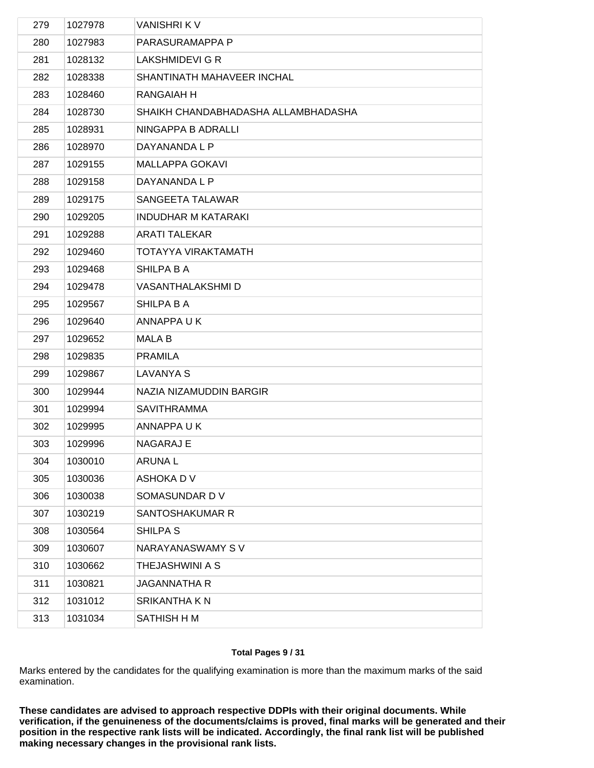| 279 | 1027978 | <b>VANISHRIKV</b>                   |
|-----|---------|-------------------------------------|
| 280 | 1027983 | PARASURAMAPPA P                     |
| 281 | 1028132 | LAKSHMIDEVI G R                     |
| 282 | 1028338 | SHANTINATH MAHAVEER INCHAL          |
| 283 | 1028460 | RANGAIAH H                          |
| 284 | 1028730 | SHAIKH CHANDABHADASHA ALLAMBHADASHA |
| 285 | 1028931 | NINGAPPA B ADRALLI                  |
| 286 | 1028970 | DAYANANDA L P                       |
| 287 | 1029155 | <b>MALLAPPA GOKAVI</b>              |
| 288 | 1029158 | DAYANANDA L P                       |
| 289 | 1029175 | SANGEETA TALAWAR                    |
| 290 | 1029205 | <b>INDUDHAR M KATARAKI</b>          |
| 291 | 1029288 | <b>ARATI TALEKAR</b>                |
| 292 | 1029460 | TOTAYYA VIRAKTAMATH                 |
| 293 | 1029468 | SHILPA B A                          |
| 294 | 1029478 | VASANTHALAKSHMI D                   |
| 295 | 1029567 | <b>SHILPA B A</b>                   |
| 296 | 1029640 | ANNAPPA U K                         |
| 297 | 1029652 | <b>MALA B</b>                       |
| 298 | 1029835 | <b>PRAMILA</b>                      |
| 299 | 1029867 | <b>LAVANYA S</b>                    |
| 300 | 1029944 | NAZIA NIZAMUDDIN BARGIR             |
| 301 | 1029994 | <b>SAVITHRAMMA</b>                  |
| 302 | 1029995 | ANNAPPA U K                         |
| 303 | 1029996 | <b>NAGARAJ E</b>                    |
| 304 | 1030010 | <b>ARUNAL</b>                       |
| 305 | 1030036 | ASHOKA D V                          |
| 306 | 1030038 | SOMASUNDAR DV                       |
| 307 | 1030219 | SANTOSHAKUMAR R                     |
| 308 | 1030564 | SHILPA S                            |
| 309 | 1030607 | NARAYANASWAMY SV                    |
| 310 | 1030662 | <b>THEJASHWINI A S</b>              |
| 311 | 1030821 | <b>JAGANNATHA R</b>                 |
| 312 | 1031012 | SRIKANTHA K N                       |
| 313 | 1031034 | SATHISH H M                         |
|     |         |                                     |

## **Total Pages 9 / 31**

Marks entered by the candidates for the qualifying examination is more than the maximum marks of the said examination.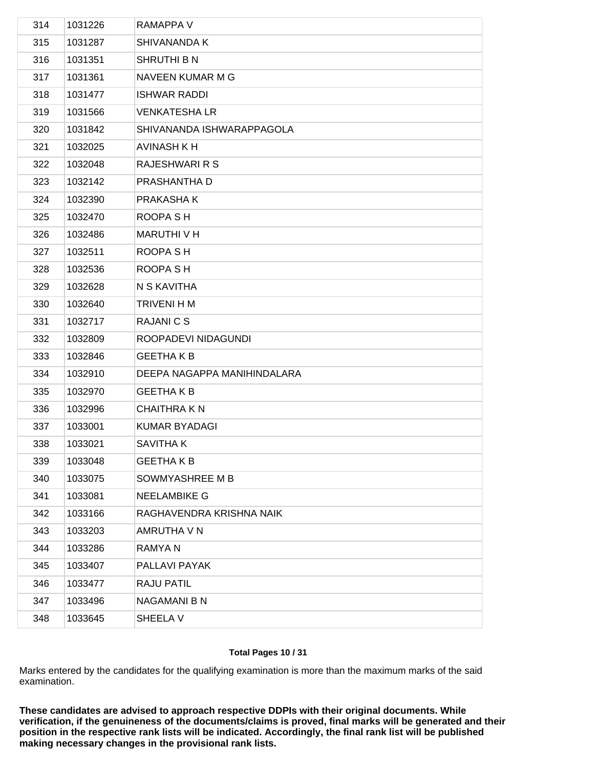| 314 | 1031226 | RAMAPPA V                   |
|-----|---------|-----------------------------|
| 315 | 1031287 | <b>SHIVANANDA K</b>         |
| 316 | 1031351 | <b>SHRUTHI B N</b>          |
| 317 | 1031361 | NAVEEN KUMAR M G            |
| 318 | 1031477 | <b>ISHWAR RADDI</b>         |
| 319 | 1031566 | <b>VENKATESHA LR</b>        |
| 320 | 1031842 | SHIVANANDA ISHWARAPPAGOLA   |
| 321 | 1032025 | <b>AVINASH K H</b>          |
| 322 | 1032048 | RAJESHWARI R S              |
| 323 | 1032142 | PRASHANTHA D                |
| 324 | 1032390 | PRAKASHA K                  |
| 325 | 1032470 | ROOPA SH                    |
| 326 | 1032486 | MARUTHI V H                 |
| 327 | 1032511 | ROOPA SH                    |
| 328 | 1032536 | ROOPA SH                    |
| 329 | 1032628 | N S KAVITHA                 |
| 330 | 1032640 | TRIVENI H M                 |
| 331 | 1032717 | <b>RAJANICS</b>             |
| 332 | 1032809 | ROOPADEVI NIDAGUNDI         |
| 333 | 1032846 | <b>GEETHAKB</b>             |
| 334 | 1032910 | DEEPA NAGAPPA MANIHINDALARA |
| 335 | 1032970 | <b>GEETHAKB</b>             |
| 336 | 1032996 | <b>CHAITHRAKN</b>           |
| 337 | 1033001 | <b>KUMAR BYADAGI</b>        |
| 338 | 1033021 | SAVITHA K                   |
| 339 | 1033048 | <b>GEETHAKB</b>             |
| 340 | 1033075 | SOWMYASHREE M B             |
| 341 | 1033081 | <b>NEELAMBIKE G</b>         |
| 342 | 1033166 | RAGHAVENDRA KRISHNA NAIK    |
| 343 | 1033203 | AMRUTHA V N                 |
| 344 | 1033286 | RAMYA N                     |
| 345 | 1033407 | PALLAVI PAYAK               |
| 346 | 1033477 | RAJU PATIL                  |
| 347 | 1033496 | NAGAMANI B N                |
| 348 | 1033645 | SHEELA V                    |
|     |         |                             |

## **Total Pages 10 / 31**

Marks entered by the candidates for the qualifying examination is more than the maximum marks of the said examination.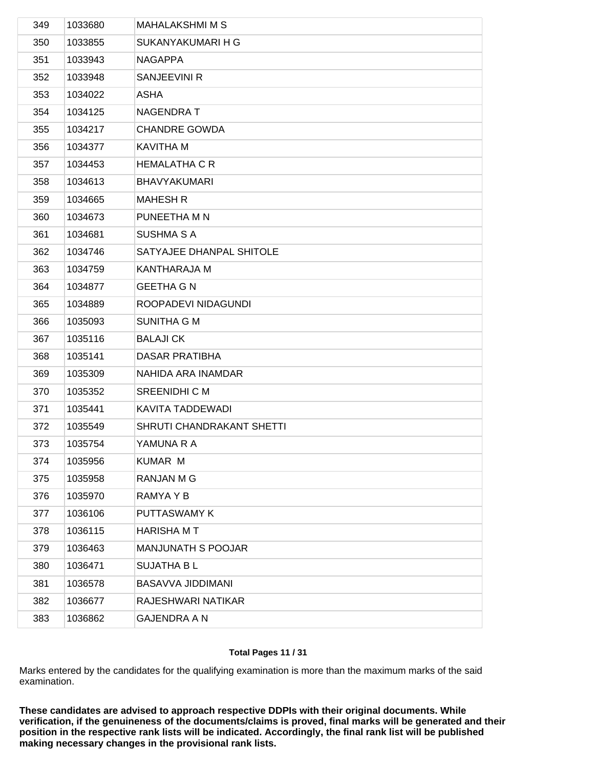| 349 | 1033680 | <b>MAHALAKSHMI M S</b>    |
|-----|---------|---------------------------|
| 350 | 1033855 | SUKANYAKUMARI H G         |
| 351 | 1033943 | <b>NAGAPPA</b>            |
| 352 | 1033948 | SANJEEVINI R              |
| 353 | 1034022 | <b>ASHA</b>               |
| 354 | 1034125 | <b>NAGENDRAT</b>          |
| 355 | 1034217 | <b>CHANDRE GOWDA</b>      |
| 356 | 1034377 | <b>KAVITHA M</b>          |
| 357 | 1034453 | <b>HEMALATHA C R</b>      |
| 358 | 1034613 | <b>BHAVYAKUMARI</b>       |
| 359 | 1034665 | <b>MAHESH R</b>           |
| 360 | 1034673 | PUNEETHA M N              |
| 361 | 1034681 | <b>SUSHMA S A</b>         |
| 362 | 1034746 | SATYAJEE DHANPAL SHITOLE  |
| 363 | 1034759 | <b>KANTHARAJA M</b>       |
| 364 | 1034877 | <b>GEETHA G N</b>         |
| 365 | 1034889 | ROOPADEVI NIDAGUNDI       |
| 366 | 1035093 | <b>SUNITHA G M</b>        |
| 367 | 1035116 | <b>BALAJICK</b>           |
| 368 | 1035141 | <b>DASAR PRATIBHA</b>     |
| 369 | 1035309 | NAHIDA ARA INAMDAR        |
| 370 | 1035352 | <b>SREENIDHI C M</b>      |
| 371 | 1035441 | KAVITA TADDEWADI          |
| 372 | 1035549 | SHRUTI CHANDRAKANT SHETTI |
| 373 | 1035754 | YAMUNA R A                |
| 374 | 1035956 | <b>KUMAR M</b>            |
| 375 | 1035958 | <b>RANJAN M G</b>         |
| 376 | 1035970 | RAMYA Y B                 |
| 377 | 1036106 | PUTTASWAMY K              |
| 378 | 1036115 | <b>HARISHA MT</b>         |
| 379 | 1036463 | MANJUNATH S POOJAR        |
| 380 | 1036471 | <b>SUJATHA BL</b>         |
| 381 | 1036578 | BASAVVA JIDDIMANI         |
| 382 | 1036677 | RAJESHWARI NATIKAR        |
| 383 | 1036862 | <b>GAJENDRA A N</b>       |
|     |         |                           |

## **Total Pages 11 / 31**

Marks entered by the candidates for the qualifying examination is more than the maximum marks of the said examination.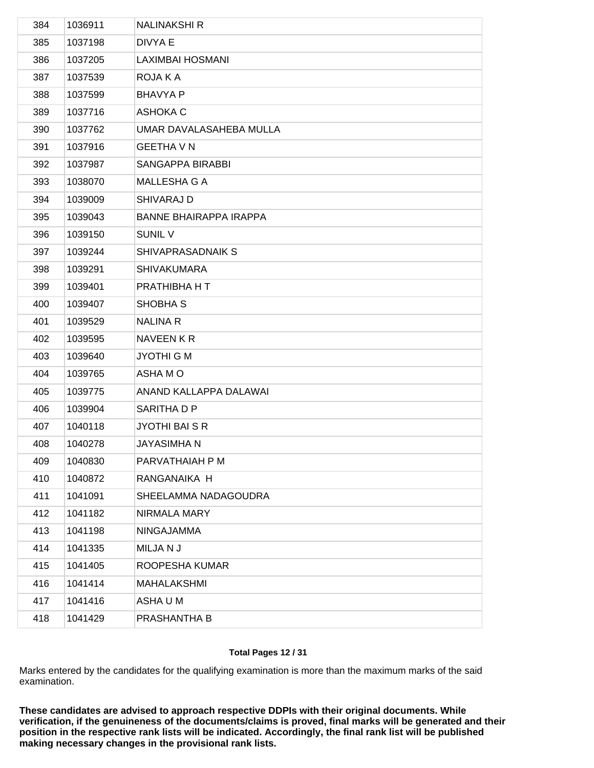| 384 | 1036911 | <b>NALINAKSHI R</b>           |
|-----|---------|-------------------------------|
| 385 | 1037198 | DIVYA E                       |
| 386 | 1037205 | <b>LAXIMBAI HOSMANI</b>       |
| 387 | 1037539 | ROJA K A                      |
| 388 | 1037599 | <b>BHAVYA P</b>               |
| 389 | 1037716 | <b>ASHOKA C</b>               |
| 390 | 1037762 | UMAR DAVALASAHEBA MULLA       |
| 391 | 1037916 | <b>GEETHA V N</b>             |
| 392 | 1037987 | SANGAPPA BIRABBI              |
| 393 | 1038070 | MALLESHA G A                  |
| 394 | 1039009 | SHIVARAJ D                    |
| 395 | 1039043 | <b>BANNE BHAIRAPPA IRAPPA</b> |
| 396 | 1039150 | <b>SUNIL V</b>                |
| 397 | 1039244 | SHIVAPRASADNAIK S             |
| 398 | 1039291 | <b>SHIVAKUMARA</b>            |
| 399 | 1039401 | PRATHIBHA H T                 |
| 400 | 1039407 | SHOBHA <sub>S</sub>           |
| 401 | 1039529 | <b>NALINA R</b>               |
| 402 | 1039595 | NAVEEN KR                     |
| 403 | 1039640 | JYOTHI G M                    |
| 404 | 1039765 | ASHA M O                      |
| 405 | 1039775 | ANAND KALLAPPA DALAWAI        |
| 406 | 1039904 | SARITHA D P                   |
| 407 | 1040118 | <b>JYOTHI BAI S R</b>         |
| 408 | 1040278 | <b>JAYASIMHAN</b>             |
| 409 | 1040830 | PARVATHAIAH P M               |
| 410 | 1040872 | RANGANAIKA H                  |
| 411 | 1041091 | SHEELAMMA NADAGOUDRA          |
| 412 | 1041182 | NIRMALA MARY                  |
| 413 | 1041198 | <b>NINGAJAMMA</b>             |
| 414 | 1041335 | MILJANJ                       |
| 415 | 1041405 | ROOPESHA KUMAR                |
| 416 | 1041414 | MAHALAKSHMI                   |
| 417 | 1041416 | ASHA U M                      |
| 418 | 1041429 | PRASHANTHA B                  |
|     |         |                               |

## **Total Pages 12 / 31**

Marks entered by the candidates for the qualifying examination is more than the maximum marks of the said examination.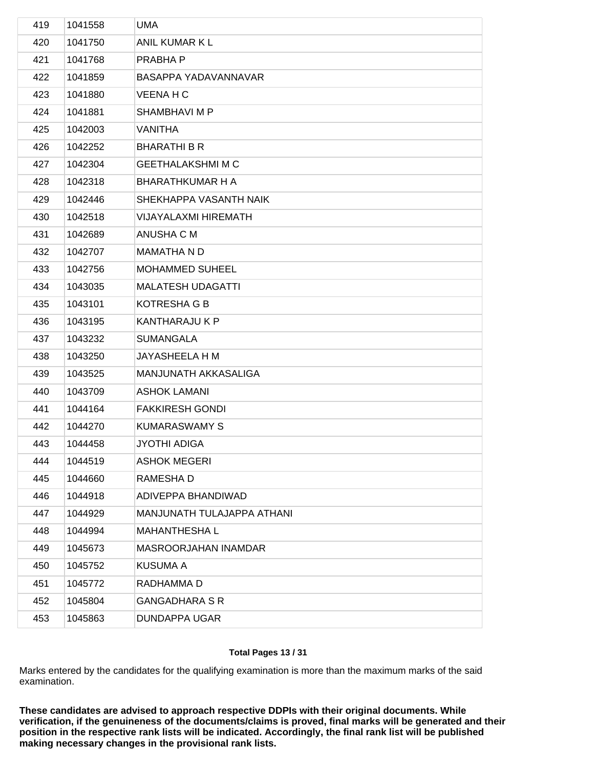| 419 | 1041558 | UMA                         |
|-----|---------|-----------------------------|
| 420 | 1041750 | ANIL KUMAR K L              |
| 421 | 1041768 | PRABHA P                    |
| 422 | 1041859 | BASAPPA YADAVANNAVAR        |
| 423 | 1041880 | <b>VEENA H C</b>            |
| 424 | 1041881 | SHAMBHAVI M P               |
| 425 | 1042003 | VANITHA                     |
| 426 | 1042252 | <b>BHARATHI B R</b>         |
| 427 | 1042304 | <b>GEETHALAKSHMI M C</b>    |
| 428 | 1042318 | <b>BHARATHKUMAR H A</b>     |
| 429 | 1042446 | SHEKHAPPA VASANTH NAIK      |
| 430 | 1042518 | <b>VIJAYALAXMI HIREMATH</b> |
| 431 | 1042689 | ANUSHA C M                  |
| 432 | 1042707 | <b>MAMATHA N D</b>          |
| 433 | 1042756 | <b>MOHAMMED SUHEEL</b>      |
| 434 | 1043035 | <b>MALATESH UDAGATTI</b>    |
| 435 | 1043101 | <b>KOTRESHA G B</b>         |
| 436 | 1043195 | <b>KANTHARAJU K P</b>       |
| 437 | 1043232 | <b>SUMANGALA</b>            |
| 438 | 1043250 | JAYASHEELA H M              |
| 439 | 1043525 | MANJUNATH AKKASALIGA        |
| 440 | 1043709 | <b>ASHOK LAMANI</b>         |
| 441 | 1044164 | <b>FAKKIRESH GONDI</b>      |
| 442 | 1044270 | <b>KUMARASWAMY S</b>        |
| 443 | 1044458 | JYOTHI ADIGA                |
| 444 | 1044519 | <b>ASHOK MEGERI</b>         |
| 445 | 1044660 | RAMESHA D                   |
| 446 | 1044918 | ADIVEPPA BHANDIWAD          |
| 447 | 1044929 | MANJUNATH TULAJAPPA ATHANI  |
| 448 | 1044994 | <b>MAHANTHESHAL</b>         |
| 449 | 1045673 | MASROORJAHAN INAMDAR        |
| 450 | 1045752 | KUSUMA A                    |
| 451 | 1045772 | RADHAMMA D                  |
| 452 | 1045804 | <b>GANGADHARA S R</b>       |
| 453 | 1045863 | <b>DUNDAPPA UGAR</b>        |
|     |         |                             |

## **Total Pages 13 / 31**

Marks entered by the candidates for the qualifying examination is more than the maximum marks of the said examination.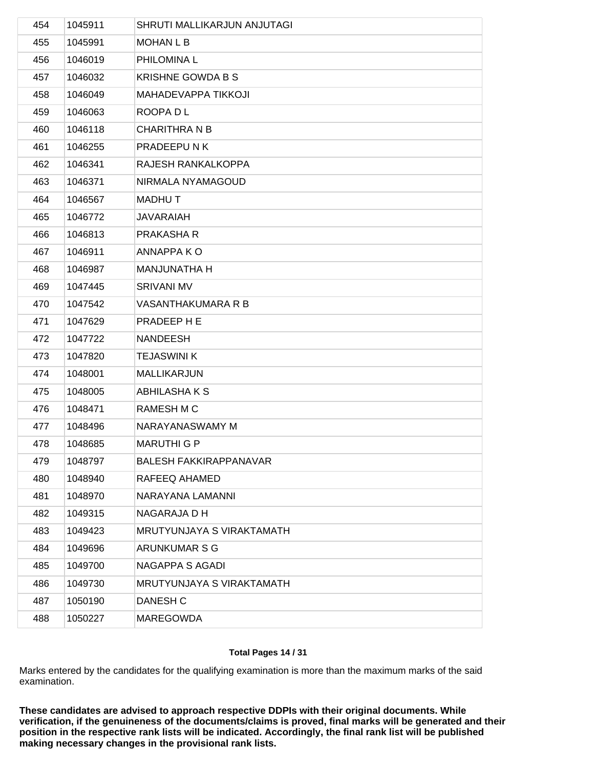| 454 | 1045911 | SHRUTI MALLIKARJUN ANJUTAGI   |
|-----|---------|-------------------------------|
| 455 | 1045991 | <b>MOHAN L B</b>              |
| 456 | 1046019 | PHILOMINA L                   |
| 457 | 1046032 | <b>KRISHNE GOWDA B S</b>      |
| 458 | 1046049 | MAHADEVAPPA TIKKOJI           |
| 459 | 1046063 | ROOPA D L                     |
| 460 | 1046118 | <b>CHARITHRA N B</b>          |
| 461 | 1046255 | PRADEEPUNK                    |
| 462 | 1046341 | RAJESH RANKALKOPPA            |
| 463 | 1046371 | NIRMALA NYAMAGOUD             |
| 464 | 1046567 | <b>MADHUT</b>                 |
| 465 | 1046772 | <b>JAVARAIAH</b>              |
| 466 | 1046813 | PRAKASHA R                    |
| 467 | 1046911 | ANNAPPA KO                    |
| 468 | 1046987 | <b>MANJUNATHA H</b>           |
| 469 | 1047445 | <b>SRIVANI MV</b>             |
| 470 | 1047542 | VASANTHAKUMARA R B            |
| 471 | 1047629 | PRADEEP H E                   |
| 472 | 1047722 | <b>NANDEESH</b>               |
| 473 | 1047820 | <b>TEJASWINI K</b>            |
| 474 | 1048001 | MALLIKARJUN                   |
| 475 | 1048005 | ABHILASHAKS                   |
| 476 | 1048471 | <b>RAMESH M C</b>             |
| 477 | 1048496 | NARAYANASWAMY M               |
| 478 | 1048685 | <b>MARUTHI G P</b>            |
| 479 | 1048797 | <b>BALESH FAKKIRAPPANAVAR</b> |
| 480 | 1048940 | RAFEEQ AHAMED                 |
| 481 | 1048970 | NARAYANA LAMANNI              |
| 482 | 1049315 | NAGARAJA D H                  |
| 483 | 1049423 | MRUTYUNJAYA S VIRAKTAMATH     |
| 484 | 1049696 | ARUNKUMAR S G                 |
| 485 | 1049700 | <b>NAGAPPA S AGADI</b>        |
| 486 | 1049730 | MRUTYUNJAYA S VIRAKTAMATH     |
| 487 | 1050190 | DANESH C                      |
| 488 | 1050227 | <b>MAREGOWDA</b>              |
|     |         |                               |

## **Total Pages 14 / 31**

Marks entered by the candidates for the qualifying examination is more than the maximum marks of the said examination.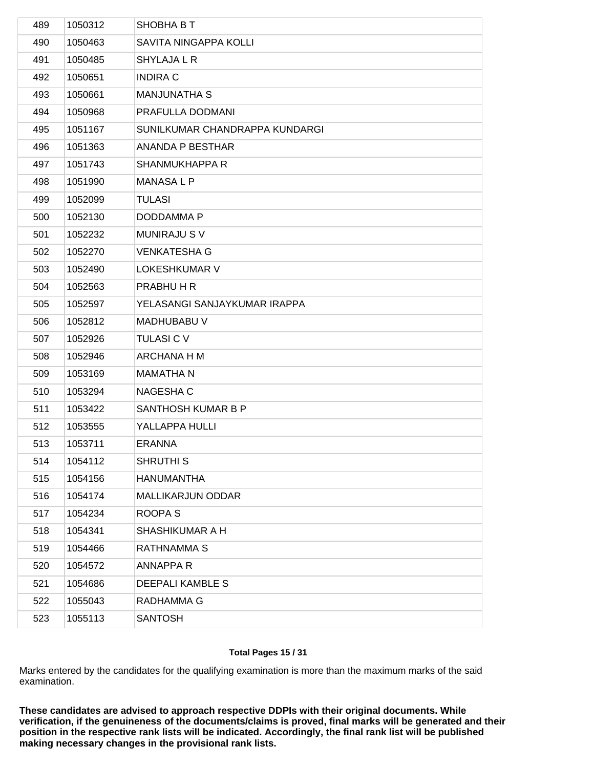| 489 | 1050312 | SHOBHA B T                     |
|-----|---------|--------------------------------|
| 490 | 1050463 | SAVITA NINGAPPA KOLLI          |
| 491 | 1050485 | <b>SHYLAJA L R</b>             |
| 492 | 1050651 | <b>INDIRA C</b>                |
| 493 | 1050661 | <b>MANJUNATHA S</b>            |
| 494 | 1050968 | PRAFULLA DODMANI               |
| 495 | 1051167 | SUNILKUMAR CHANDRAPPA KUNDARGI |
| 496 | 1051363 | ANANDA P BESTHAR               |
| 497 | 1051743 | SHANMUKHAPPA R                 |
| 498 | 1051990 | MANASA L P                     |
| 499 | 1052099 | <b>TULASI</b>                  |
| 500 | 1052130 | DODDAMMA P                     |
| 501 | 1052232 | <b>MUNIRAJU SV</b>             |
| 502 | 1052270 | <b>VENKATESHA G</b>            |
| 503 | 1052490 | <b>LOKESHKUMAR V</b>           |
| 504 | 1052563 | PRABHU H R                     |
| 505 | 1052597 | YELASANGI SANJAYKUMAR IRAPPA   |
| 506 | 1052812 | <b>MADHUBABU V</b>             |
| 507 | 1052926 | <b>TULASI C V</b>              |
| 508 | 1052946 | ARCHANA H M                    |
| 509 | 1053169 | <b>MAMATHA N</b>               |
| 510 | 1053294 | NAGESHA C                      |
| 511 | 1053422 | SANTHOSH KUMAR B P             |
| 512 | 1053555 | YALLAPPA HULLI                 |
| 513 | 1053711 | <b>ERANNA</b>                  |
| 514 | 1054112 | <b>SHRUTHIS</b>                |
| 515 | 1054156 | <b>HANUMANTHA</b>              |
| 516 | 1054174 | MALLIKARJUN ODDAR              |
| 517 | 1054234 | ROOPA <sub>S</sub>             |
| 518 | 1054341 | SHASHIKUMAR A H                |
| 519 | 1054466 | <b>RATHNAMMA S</b>             |
| 520 | 1054572 | <b>ANNAPPAR</b>                |
| 521 | 1054686 | <b>DEEPALI KAMBLE S</b>        |
| 522 | 1055043 | RADHAMMA G                     |
| 523 | 1055113 | <b>SANTOSH</b>                 |
|     |         |                                |

## **Total Pages 15 / 31**

Marks entered by the candidates for the qualifying examination is more than the maximum marks of the said examination.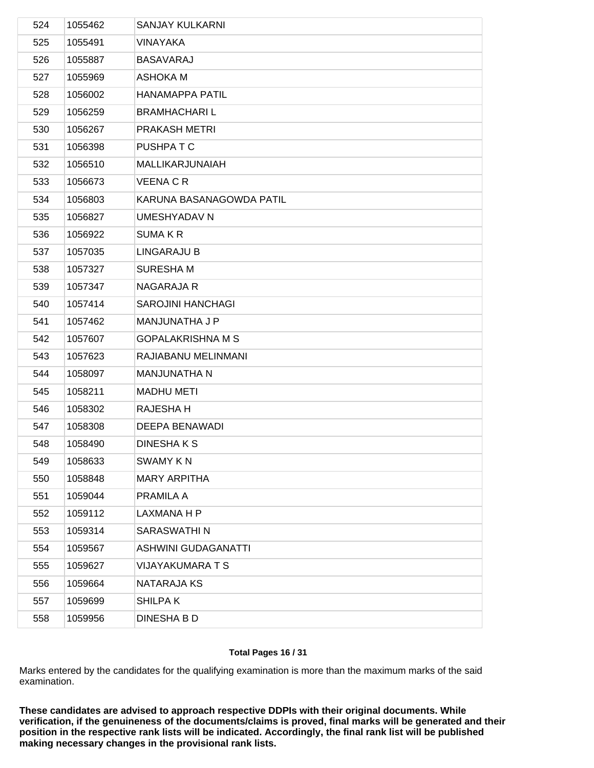| 524 | 1055462 | <b>SANJAY KULKARNI</b>     |
|-----|---------|----------------------------|
| 525 | 1055491 | VINAYAKA                   |
| 526 | 1055887 | <b>BASAVARAJ</b>           |
| 527 | 1055969 | <b>ASHOKA M</b>            |
| 528 | 1056002 | <b>HANAMAPPA PATIL</b>     |
| 529 | 1056259 | <b>BRAMHACHARIL</b>        |
| 530 | 1056267 | PRAKASH METRI              |
| 531 | 1056398 | PUSHPA T C                 |
| 532 | 1056510 | MALLIKARJUNAIAH            |
| 533 | 1056673 | <b>VEENA C R</b>           |
| 534 | 1056803 | KARUNA BASANAGOWDA PATIL   |
| 535 | 1056827 | <b>UMESHYADAV N</b>        |
| 536 | 1056922 | <b>SUMAKR</b>              |
| 537 | 1057035 | LINGARAJU B                |
| 538 | 1057327 | <b>SURESHAM</b>            |
| 539 | 1057347 | <b>NAGARAJA R</b>          |
| 540 | 1057414 | <b>SAROJINI HANCHAGI</b>   |
| 541 | 1057462 | MANJUNATHA J P             |
| 542 | 1057607 | <b>GOPALAKRISHNA M S</b>   |
| 543 | 1057623 | RAJIABANU MELINMANI        |
| 544 | 1058097 | <b>MANJUNATHA N</b>        |
| 545 | 1058211 | <b>MADHU METI</b>          |
| 546 | 1058302 | RAJESHA H                  |
| 547 | 1058308 | <b>DEEPA BENAWADI</b>      |
| 548 | 1058490 | DINESHAKS                  |
| 549 | 1058633 | <b>SWAMY KN</b>            |
| 550 | 1058848 | <b>MARY ARPITHA</b>        |
| 551 | 1059044 | PRAMILA A                  |
| 552 | 1059112 | LAXMANA H P                |
| 553 | 1059314 | SARASWATHI N               |
| 554 | 1059567 | <b>ASHWINI GUDAGANATTI</b> |
| 555 | 1059627 | <b>VIJAYAKUMARA T S</b>    |
| 556 | 1059664 | NATARAJA KS                |
| 557 | 1059699 | SHILPA K                   |
| 558 | 1059956 | <b>DINESHA B D</b>         |
|     |         |                            |

## **Total Pages 16 / 31**

Marks entered by the candidates for the qualifying examination is more than the maximum marks of the said examination.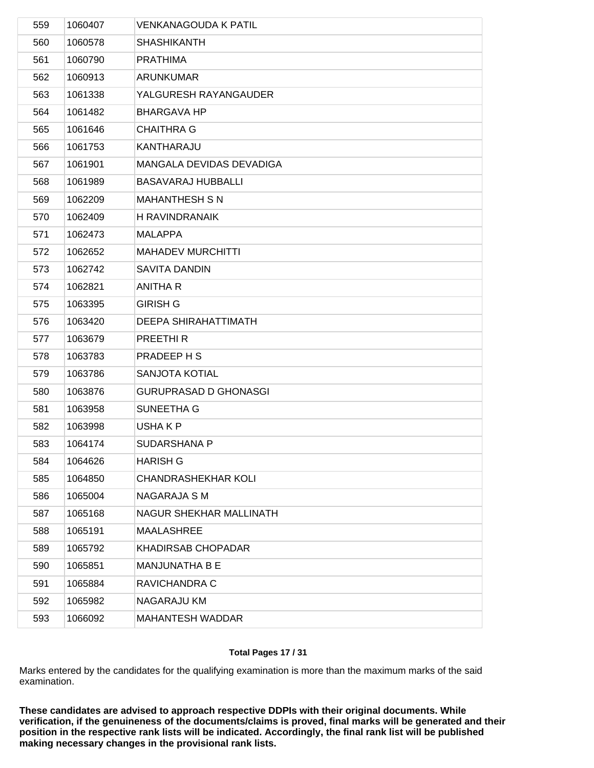| 559 | 1060407 | <b>VENKANAGOUDA K PATIL</b>  |
|-----|---------|------------------------------|
| 560 | 1060578 | <b>SHASHIKANTH</b>           |
| 561 | 1060790 | <b>PRATHIMA</b>              |
| 562 | 1060913 | <b>ARUNKUMAR</b>             |
| 563 | 1061338 | YALGURESH RAYANGAUDER        |
| 564 | 1061482 | <b>BHARGAVA HP</b>           |
| 565 | 1061646 | <b>CHAITHRA G</b>            |
| 566 | 1061753 | KANTHARAJU                   |
| 567 | 1061901 | MANGALA DEVIDAS DEVADIGA     |
| 568 | 1061989 | <b>BASAVARAJ HUBBALLI</b>    |
| 569 | 1062209 | <b>MAHANTHESH S N</b>        |
| 570 | 1062409 | <b>H RAVINDRANAIK</b>        |
| 571 | 1062473 | <b>MALAPPA</b>               |
| 572 | 1062652 | <b>MAHADEV MURCHITTI</b>     |
| 573 | 1062742 | <b>SAVITA DANDIN</b>         |
| 574 | 1062821 | <b>ANITHA R</b>              |
| 575 | 1063395 | <b>GIRISH G</b>              |
| 576 | 1063420 | <b>DEEPA SHIRAHATTIMATH</b>  |
| 577 | 1063679 | PREETHI R                    |
| 578 | 1063783 | PRADEEP H S                  |
| 579 | 1063786 | SANJOTA KOTIAL               |
| 580 | 1063876 | <b>GURUPRASAD D GHONASGI</b> |
| 581 | 1063958 | SUNEETHA G                   |
| 582 | 1063998 | USHA K P                     |
| 583 | 1064174 | <b>SUDARSHANA P</b>          |
| 584 | 1064626 | <b>HARISH G</b>              |
| 585 | 1064850 | <b>CHANDRASHEKHAR KOLI</b>   |
| 586 | 1065004 | NAGARAJA S M                 |
| 587 | 1065168 | NAGUR SHEKHAR MALLINATH      |
| 588 | 1065191 | <b>MAALASHREE</b>            |
| 589 | 1065792 | <b>KHADIRSAB CHOPADAR</b>    |
| 590 | 1065851 | MANJUNATHA B E               |
| 591 | 1065884 | RAVICHANDRA C                |
| 592 | 1065982 | NAGARAJU KM                  |
| 593 | 1066092 | MAHANTESH WADDAR             |
|     |         |                              |

# **Total Pages 17 / 31**

Marks entered by the candidates for the qualifying examination is more than the maximum marks of the said examination.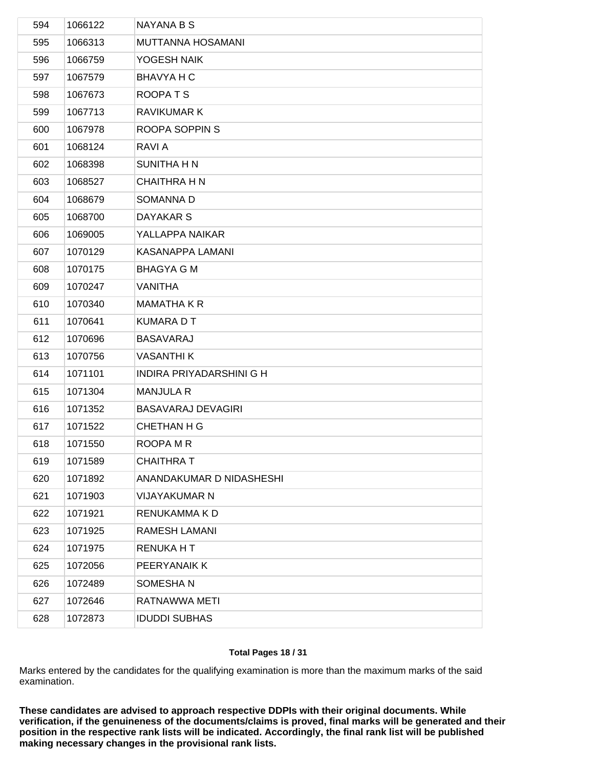| 594 | 1066122 | NAYANA B S                |
|-----|---------|---------------------------|
| 595 | 1066313 | MUTTANNA HOSAMANI         |
| 596 | 1066759 | YOGESH NAIK               |
| 597 | 1067579 | BHAVYA H C                |
| 598 | 1067673 | ROOPATS                   |
| 599 | 1067713 | <b>RAVIKUMAR K</b>        |
| 600 | 1067978 | ROOPA SOPPIN S            |
| 601 | 1068124 | RAVI A                    |
| 602 | 1068398 | <b>SUNITHA H N</b>        |
| 603 | 1068527 | <b>CHAITHRA H N</b>       |
| 604 | 1068679 | SOMANNA D                 |
| 605 | 1068700 | DAYAKAR S                 |
| 606 | 1069005 | YALLAPPA NAIKAR           |
| 607 | 1070129 | KASANAPPA LAMANI          |
| 608 | 1070175 | <b>BHAGYA G M</b>         |
| 609 | 1070247 | <b>VANITHA</b>            |
| 610 | 1070340 | <b>MAMATHA K R</b>        |
| 611 | 1070641 | <b>KUMARA D T</b>         |
| 612 | 1070696 | <b>BASAVARAJ</b>          |
| 613 | 1070756 | <b>VASANTHI K</b>         |
| 614 | 1071101 | INDIRA PRIYADARSHINI G H  |
| 615 | 1071304 | <b>MANJULA R</b>          |
| 616 | 1071352 | <b>BASAVARAJ DEVAGIRI</b> |
| 617 | 1071522 | <b>CHETHAN H G</b>        |
| 618 | 1071550 | ROOPA M R                 |
| 619 | 1071589 | <b>CHAITHRAT</b>          |
| 620 | 1071892 | ANANDAKUMAR D NIDASHESHI  |
| 621 | 1071903 | VIJAYAKUMAR N             |
| 622 | 1071921 | RENUKAMMA K D             |
| 623 | 1071925 | RAMESH LAMANI             |
| 624 | 1071975 | <b>RENUKA H T</b>         |
| 625 | 1072056 | PEERYANAIK K              |
| 626 | 1072489 | SOMESHAN                  |
| 627 | 1072646 | RATNAWWA METI             |
| 628 | 1072873 | <b>IDUDDI SUBHAS</b>      |
|     |         |                           |

## **Total Pages 18 / 31**

Marks entered by the candidates for the qualifying examination is more than the maximum marks of the said examination.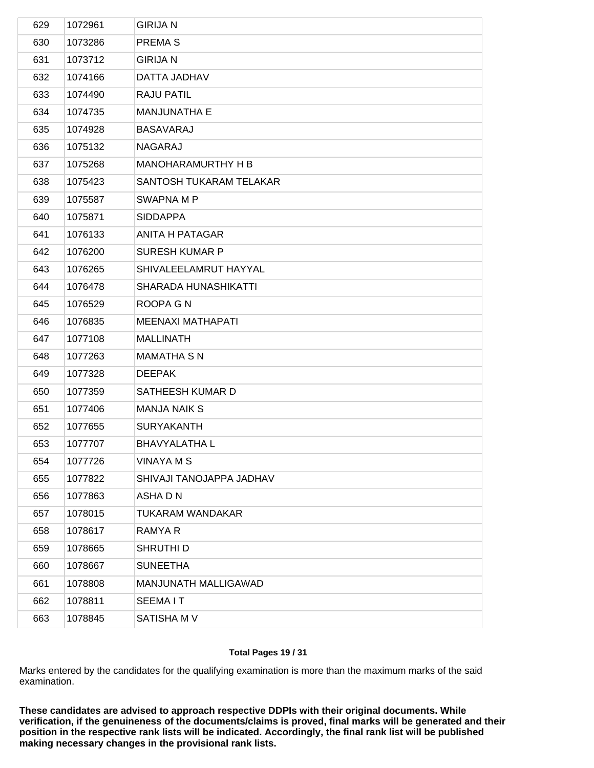| 629 | 1072961 | <b>GIRIJA N</b>             |
|-----|---------|-----------------------------|
| 630 | 1073286 | PREMA <sub>S</sub>          |
| 631 | 1073712 | <b>GIRIJA N</b>             |
| 632 | 1074166 | DATTA JADHAV                |
| 633 | 1074490 | <b>RAJU PATIL</b>           |
| 634 | 1074735 | <b>MANJUNATHA E</b>         |
| 635 | 1074928 | <b>BASAVARAJ</b>            |
| 636 | 1075132 | NAGARAJ                     |
| 637 | 1075268 | <b>MANOHARAMURTHY H B</b>   |
| 638 | 1075423 | SANTOSH TUKARAM TELAKAR     |
| 639 | 1075587 | SWAPNA M P                  |
| 640 | 1075871 | <b>SIDDAPPA</b>             |
| 641 | 1076133 | ANITA H PATAGAR             |
| 642 | 1076200 | <b>SURESH KUMAR P</b>       |
| 643 | 1076265 | SHIVALEELAMRUT HAYYAL       |
| 644 | 1076478 | <b>SHARADA HUNASHIKATTI</b> |
| 645 | 1076529 | ROOPA G N                   |
| 646 | 1076835 | <b>MEENAXI MATHAPATI</b>    |
| 647 | 1077108 | <b>MALLINATH</b>            |
| 648 | 1077263 | <b>MAMATHA S N</b>          |
| 649 | 1077328 | <b>DEEPAK</b>               |
| 650 | 1077359 | SATHEESH KUMAR D            |
| 651 | 1077406 | <b>MANJA NAIK S</b>         |
| 652 | 1077655 | <b>SURYAKANTH</b>           |
| 653 | 1077707 | <b>BHAVYALATHA L</b>        |
| 654 | 1077726 | <b>VINAYA M S</b>           |
| 655 | 1077822 | SHIVAJI TANOJAPPA JADHAV    |
| 656 | 1077863 | ASHA D N                    |
| 657 | 1078015 | <b>TUKARAM WANDAKAR</b>     |
| 658 | 1078617 | RAMYA R                     |
| 659 | 1078665 | SHRUTHI D                   |
| 660 | 1078667 | <b>SUNEETHA</b>             |
| 661 | 1078808 | MANJUNATH MALLIGAWAD        |
| 662 | 1078811 | <b>SEEMAIT</b>              |
| 663 | 1078845 | SATISHA M V                 |
|     |         |                             |

## **Total Pages 19 / 31**

Marks entered by the candidates for the qualifying examination is more than the maximum marks of the said examination.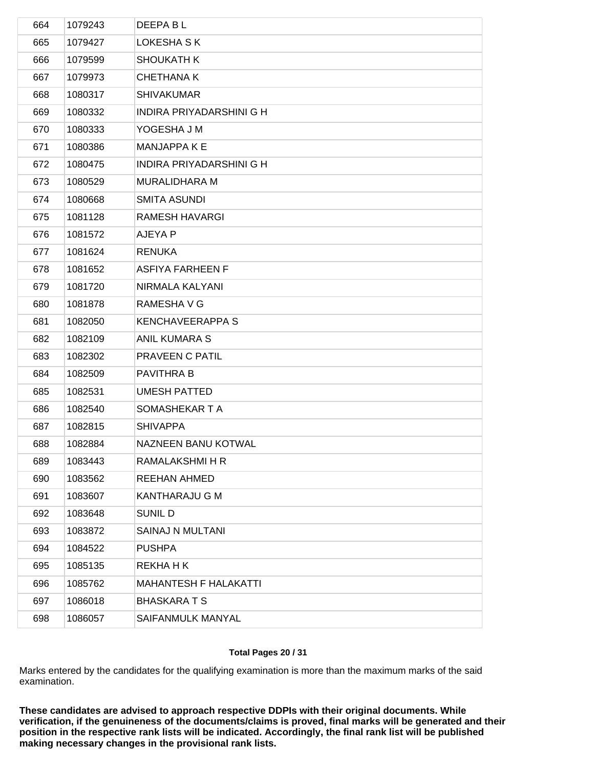| 664 | 1079243 | DEEPA B L                    |
|-----|---------|------------------------------|
| 665 | 1079427 | LOKESHA S K                  |
| 666 | 1079599 | <b>SHOUKATH K</b>            |
| 667 | 1079973 | <b>CHETHANA K</b>            |
| 668 | 1080317 | <b>SHIVAKUMAR</b>            |
| 669 | 1080332 | INDIRA PRIYADARSHINI G H     |
| 670 | 1080333 | YOGESHA J M                  |
| 671 | 1080386 | MANJAPPA K E                 |
| 672 | 1080475 | INDIRA PRIYADARSHINI G H     |
| 673 | 1080529 | <b>MURALIDHARA M</b>         |
| 674 | 1080668 | <b>SMITA ASUNDI</b>          |
| 675 | 1081128 | <b>RAMESH HAVARGI</b>        |
| 676 | 1081572 | AJEYA P                      |
| 677 | 1081624 | <b>RENUKA</b>                |
| 678 | 1081652 | ASFIYA FARHEEN F             |
| 679 | 1081720 | NIRMALA KALYANI              |
| 680 | 1081878 | RAMESHA V G                  |
| 681 | 1082050 | <b>KENCHAVEERAPPA S</b>      |
| 682 | 1082109 | <b>ANIL KUMARA S</b>         |
| 683 | 1082302 | PRAVEEN C PATIL              |
| 684 | 1082509 | PAVITHRA B                   |
| 685 | 1082531 | <b>UMESH PATTED</b>          |
| 686 | 1082540 | SOMASHEKAR T A               |
| 687 | 1082815 | <b>SHIVAPPA</b>              |
| 688 | 1082884 | NAZNEEN BANU KOTWAL          |
| 689 | 1083443 | RAMALAKSHMI H R              |
| 690 | 1083562 | REEHAN AHMED                 |
| 691 | 1083607 | KANTHARAJU G M               |
| 692 | 1083648 | <b>SUNIL D</b>               |
| 693 | 1083872 | SAINAJ N MULTANI             |
| 694 | 1084522 | <b>PUSHPA</b>                |
| 695 | 1085135 | <b>REKHAHK</b>               |
| 696 | 1085762 | <b>MAHANTESH F HALAKATTI</b> |
| 697 | 1086018 | <b>BHASKARATS</b>            |
| 698 | 1086057 | SAIFANMULK MANYAL            |
|     |         |                              |

## **Total Pages 20 / 31**

Marks entered by the candidates for the qualifying examination is more than the maximum marks of the said examination.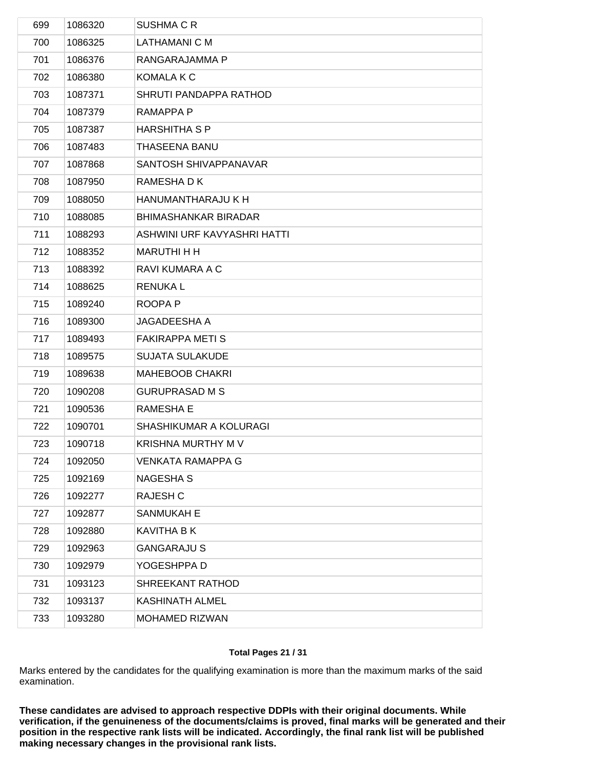| 699 | 1086320 | SUSHMA C R                  |
|-----|---------|-----------------------------|
| 700 | 1086325 | LATHAMANI C M               |
| 701 | 1086376 | RANGARAJAMMA P              |
| 702 | 1086380 | KOMALA K C                  |
| 703 | 1087371 | SHRUTI PANDAPPA RATHOD      |
| 704 | 1087379 | RAMAPPA P                   |
| 705 | 1087387 | <b>HARSHITHA S P</b>        |
| 706 | 1087483 | THASEENA BANU               |
| 707 | 1087868 | SANTOSH SHIVAPPANAVAR       |
| 708 | 1087950 | RAMESHA D K                 |
| 709 | 1088050 | HANUMANTHARAJU K H          |
| 710 | 1088085 | <b>BHIMASHANKAR BIRADAR</b> |
| 711 | 1088293 | ASHWINI URF KAVYASHRI HATTI |
| 712 | 1088352 | <b>MARUTHI H H</b>          |
| 713 | 1088392 | RAVI KUMARA A C             |
| 714 | 1088625 | <b>RENUKAL</b>              |
| 715 | 1089240 | ROOPA P                     |
| 716 | 1089300 | JAGADEESHA A                |
| 717 | 1089493 | <b>FAKIRAPPA METI S</b>     |
| 718 | 1089575 | <b>SUJATA SULAKUDE</b>      |
| 719 | 1089638 | <b>MAHEBOOB CHAKRI</b>      |
| 720 | 1090208 | <b>GURUPRASAD M S</b>       |
| 721 | 1090536 | RAMESHA E                   |
| 722 | 1090701 | SHASHIKUMAR A KOLURAGI      |
| 723 | 1090718 | KRISHNA MURTHY M V          |
| 724 | 1092050 | <b>VENKATA RAMAPPA G</b>    |
| 725 | 1092169 | NAGESHA S                   |
| 726 | 1092277 | RAJESH C                    |
| 727 | 1092877 | SANMUKAH E                  |
| 728 | 1092880 | <b>KAVITHA B K</b>          |
| 729 | 1092963 | <b>GANGARAJU S</b>          |
| 730 | 1092979 | YOGESHPPA D                 |
| 731 | 1093123 | SHREEKANT RATHOD            |
| 732 | 1093137 | <b>KASHINATH ALMEL</b>      |
| 733 | 1093280 | MOHAMED RIZWAN              |
|     |         |                             |

## **Total Pages 21 / 31**

Marks entered by the candidates for the qualifying examination is more than the maximum marks of the said examination.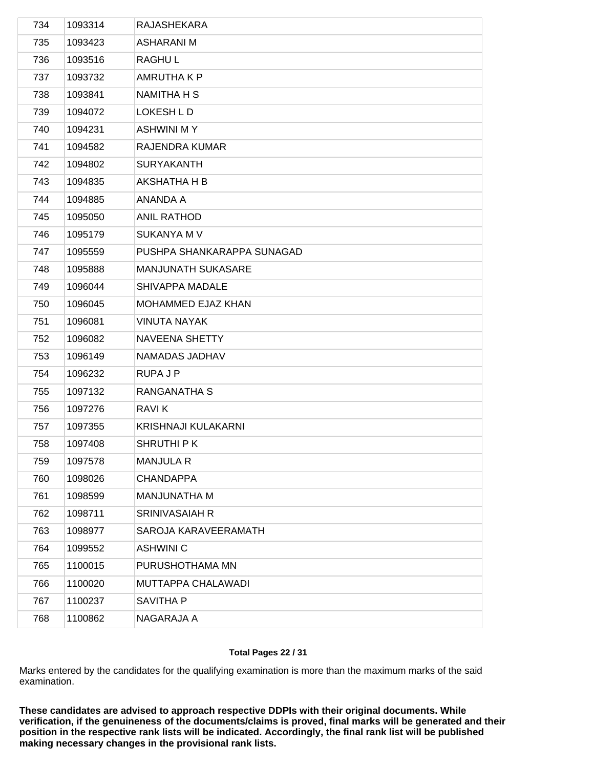| 734 | 1093314 | RAJASHEKARA                |
|-----|---------|----------------------------|
| 735 | 1093423 | <b>ASHARANI M</b>          |
| 736 | 1093516 | <b>RAGHUL</b>              |
| 737 | 1093732 | <b>AMRUTHAKP</b>           |
| 738 | 1093841 | NAMITHA H S                |
| 739 | 1094072 | LOKESH L D                 |
| 740 | 1094231 | ASHWINI M Y                |
| 741 | 1094582 | RAJENDRA KUMAR             |
| 742 | 1094802 | <b>SURYAKANTH</b>          |
| 743 | 1094835 | AKSHATHA H B               |
| 744 | 1094885 | ANANDA A                   |
| 745 | 1095050 | <b>ANIL RATHOD</b>         |
| 746 | 1095179 | <b>SUKANYA M V</b>         |
| 747 | 1095559 | PUSHPA SHANKARAPPA SUNAGAD |
| 748 | 1095888 | MANJUNATH SUKASARE         |
| 749 | 1096044 | SHIVAPPA MADALE            |
| 750 | 1096045 | MOHAMMED EJAZ KHAN         |
| 751 | 1096081 | <b>VINUTA NAYAK</b>        |
| 752 | 1096082 | NAVEENA SHETTY             |
| 753 | 1096149 | NAMADAS JADHAV             |
| 754 | 1096232 | RUPA J P                   |
| 755 | 1097132 | RANGANATHA S               |
| 756 | 1097276 | <b>RAVIK</b>               |
| 757 | 1097355 | KRISHNAJI KULAKARNI        |
| 758 | 1097408 | SHRUTHI P K                |
| 759 | 1097578 | <b>MANJULA R</b>           |
| 760 | 1098026 | <b>CHANDAPPA</b>           |
| 761 | 1098599 | MANJUNATHA M               |
| 762 | 1098711 | <b>SRINIVASAIAH R</b>      |
| 763 | 1098977 | SAROJA KARAVEERAMATH       |
| 764 | 1099552 | <b>ASHWINI C</b>           |
| 765 | 1100015 | PURUSHOTHAMA MN            |
| 766 | 1100020 | MUTTAPPA CHALAWADI         |
| 767 | 1100237 | <b>SAVITHA P</b>           |
| 768 | 1100862 | NAGARAJA A                 |
|     |         |                            |

## **Total Pages 22 / 31**

Marks entered by the candidates for the qualifying examination is more than the maximum marks of the said examination.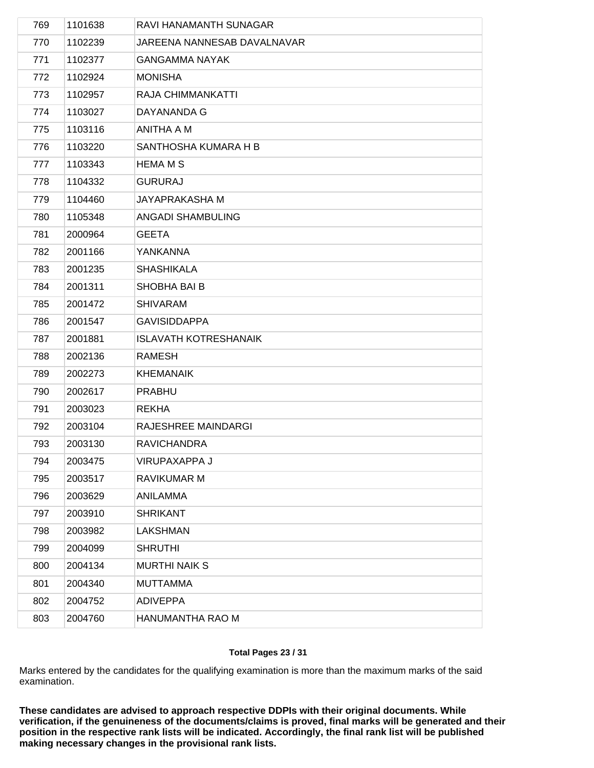| 769 | 1101638 | RAVI HANAMANTH SUNAGAR       |
|-----|---------|------------------------------|
| 770 | 1102239 | JAREENA NANNESAB DAVALNAVAR  |
| 771 | 1102377 | <b>GANGAMMA NAYAK</b>        |
| 772 | 1102924 | <b>MONISHA</b>               |
| 773 | 1102957 | RAJA CHIMMANKATTI            |
| 774 | 1103027 | DAYANANDA G                  |
| 775 | 1103116 | ANITHA A M                   |
| 776 | 1103220 | SANTHOSHA KUMARA H B         |
| 777 | 1103343 | <b>HEMA M S</b>              |
| 778 | 1104332 | <b>GURURAJ</b>               |
| 779 | 1104460 | JAYAPRAKASHA M               |
| 780 | 1105348 | <b>ANGADI SHAMBULING</b>     |
| 781 | 2000964 | <b>GEETA</b>                 |
| 782 | 2001166 | YANKANNA                     |
| 783 | 2001235 | <b>SHASHIKALA</b>            |
| 784 | 2001311 | SHOBHA BAI B                 |
| 785 | 2001472 | <b>SHIVARAM</b>              |
| 786 | 2001547 | <b>GAVISIDDAPPA</b>          |
| 787 | 2001881 | <b>ISLAVATH KOTRESHANAIK</b> |
| 788 | 2002136 | <b>RAMESH</b>                |
| 789 | 2002273 | <b>KHEMANAIK</b>             |
| 790 | 2002617 | <b>PRABHU</b>                |
| 791 | 2003023 | <b>REKHA</b>                 |
| 792 | 2003104 | RAJESHREE MAINDARGI          |
| 793 | 2003130 | <b>RAVICHANDRA</b>           |
| 794 | 2003475 | VIRUPAXAPPA J                |
| 795 | 2003517 | RAVIKUMAR M                  |
| 796 | 2003629 | ANILAMMA                     |
| 797 | 2003910 | <b>SHRIKANT</b>              |
| 798 | 2003982 | <b>LAKSHMAN</b>              |
| 799 | 2004099 | <b>SHRUTHI</b>               |
| 800 | 2004134 | <b>MURTHI NAIK S</b>         |
| 801 | 2004340 | <b>MUTTAMMA</b>              |
| 802 | 2004752 | <b>ADIVEPPA</b>              |
| 803 | 2004760 | HANUMANTHA RAO M             |
|     |         |                              |

## **Total Pages 23 / 31**

Marks entered by the candidates for the qualifying examination is more than the maximum marks of the said examination.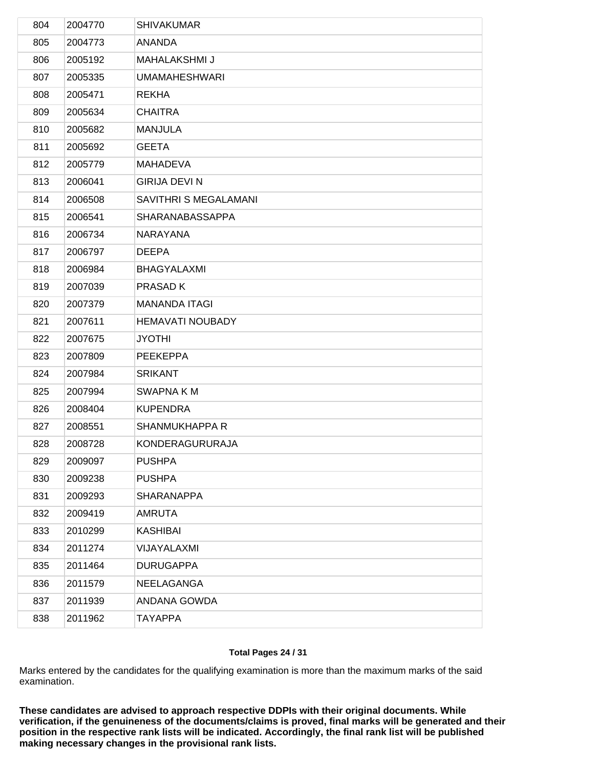| 804 | 2004770 | <b>SHIVAKUMAR</b>       |
|-----|---------|-------------------------|
| 805 | 2004773 | <b>ANANDA</b>           |
| 806 | 2005192 | <b>MAHALAKSHMI J</b>    |
| 807 | 2005335 | <b>UMAMAHESHWARI</b>    |
| 808 | 2005471 | <b>REKHA</b>            |
| 809 | 2005634 | <b>CHAITRA</b>          |
| 810 | 2005682 | <b>MANJULA</b>          |
| 811 | 2005692 | <b>GEETA</b>            |
| 812 | 2005779 | <b>MAHADEVA</b>         |
| 813 | 2006041 | <b>GIRIJA DEVI N</b>    |
| 814 | 2006508 | SAVITHRI S MEGALAMANI   |
| 815 | 2006541 | SHARANABASSAPPA         |
| 816 | 2006734 | NARAYANA                |
| 817 | 2006797 | <b>DEEPA</b>            |
| 818 | 2006984 | <b>BHAGYALAXMI</b>      |
| 819 | 2007039 | PRASAD K                |
| 820 | 2007379 | <b>MANANDA ITAGI</b>    |
| 821 | 2007611 | <b>HEMAVATI NOUBADY</b> |
| 822 | 2007675 | <b>JYOTHI</b>           |
| 823 | 2007809 | <b>PEEKEPPA</b>         |
| 824 | 2007984 | <b>SRIKANT</b>          |
| 825 | 2007994 | <b>SWAPNA KM</b>        |
| 826 | 2008404 | <b>KUPENDRA</b>         |
| 827 | 2008551 | <b>SHANMUKHAPPA R</b>   |
| 828 | 2008728 | KONDERAGURURAJA         |
| 829 | 2009097 | <b>PUSHPA</b>           |
| 830 | 2009238 | <b>PUSHPA</b>           |
| 831 | 2009293 | <b>SHARANAPPA</b>       |
| 832 | 2009419 | <b>AMRUTA</b>           |
| 833 | 2010299 | KASHIBAI                |
| 834 | 2011274 | VIJAYALAXMI             |
| 835 | 2011464 | <b>DURUGAPPA</b>        |
| 836 | 2011579 | NEELAGANGA              |
| 837 | 2011939 | ANDANA GOWDA            |
| 838 | 2011962 | <b>TAYAPPA</b>          |
|     |         |                         |

## **Total Pages 24 / 31**

Marks entered by the candidates for the qualifying examination is more than the maximum marks of the said examination.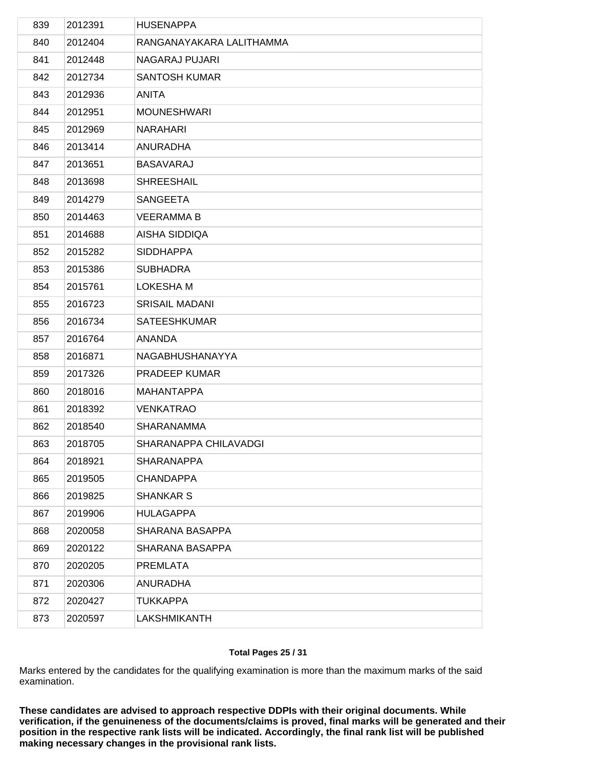| 839 | 2012391 | <b>HUSENAPPA</b>         |
|-----|---------|--------------------------|
| 840 | 2012404 | RANGANAYAKARA LALITHAMMA |
| 841 | 2012448 | NAGARAJ PUJARI           |
| 842 | 2012734 | <b>SANTOSH KUMAR</b>     |
| 843 | 2012936 | ANITA                    |
| 844 | 2012951 | <b>MOUNESHWARI</b>       |
| 845 | 2012969 | <b>NARAHARI</b>          |
| 846 | 2013414 | ANURADHA                 |
| 847 | 2013651 | <b>BASAVARAJ</b>         |
| 848 | 2013698 | <b>SHREESHAIL</b>        |
| 849 | 2014279 | <b>SANGEETA</b>          |
| 850 | 2014463 | <b>VEERAMMA B</b>        |
| 851 | 2014688 | AISHA SIDDIQA            |
| 852 | 2015282 | <b>SIDDHAPPA</b>         |
| 853 | 2015386 | <b>SUBHADRA</b>          |
| 854 | 2015761 | <b>LOKESHA M</b>         |
| 855 | 2016723 | <b>SRISAIL MADANI</b>    |
| 856 | 2016734 | <b>SATEESHKUMAR</b>      |
| 857 | 2016764 | ANANDA                   |
| 858 | 2016871 | NAGABHUSHANAYYA          |
| 859 | 2017326 | PRADEEP KUMAR            |
| 860 | 2018016 | MAHANTAPPA               |
| 861 | 2018392 | <b>VENKATRAO</b>         |
| 862 | 2018540 | <b>SHARANAMMA</b>        |
| 863 | 2018705 | SHARANAPPA CHILAVADGI    |
| 864 | 2018921 | <b>SHARANAPPA</b>        |
| 865 | 2019505 | <b>CHANDAPPA</b>         |
| 866 | 2019825 | <b>SHANKAR S</b>         |
| 867 | 2019906 | <b>HULAGAPPA</b>         |
| 868 | 2020058 | SHARANA BASAPPA          |
| 869 | 2020122 | SHARANA BASAPPA          |
| 870 | 2020205 | <b>PREMLATA</b>          |
| 871 | 2020306 | <b>ANURADHA</b>          |
| 872 | 2020427 | <b>TUKKAPPA</b>          |
| 873 | 2020597 | <b>LAKSHMIKANTH</b>      |
|     |         |                          |

## **Total Pages 25 / 31**

Marks entered by the candidates for the qualifying examination is more than the maximum marks of the said examination.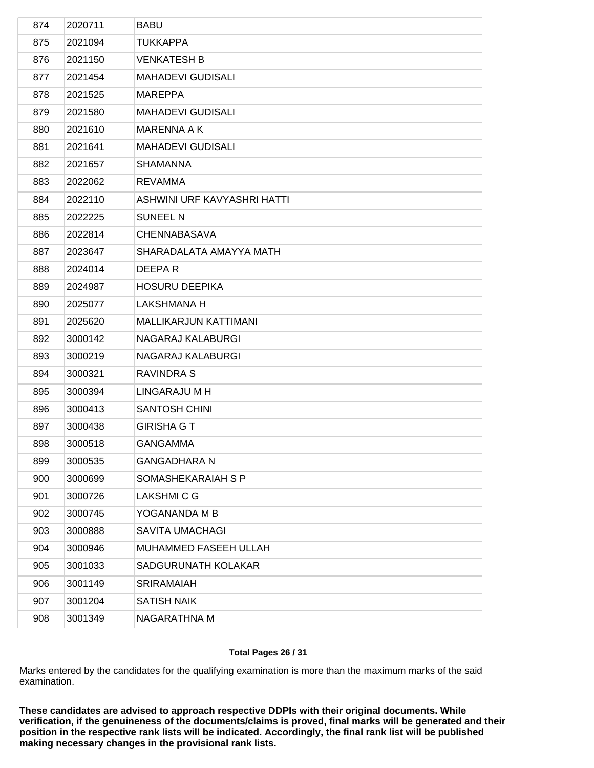| 874 | 2020711 | <b>BABU</b>                  |
|-----|---------|------------------------------|
| 875 | 2021094 | <b>TUKKAPPA</b>              |
| 876 | 2021150 | <b>VENKATESH B</b>           |
| 877 | 2021454 | <b>MAHADEVI GUDISALI</b>     |
| 878 | 2021525 | <b>MAREPPA</b>               |
| 879 | 2021580 | <b>MAHADEVI GUDISALI</b>     |
| 880 | 2021610 | MARENNA A K                  |
| 881 | 2021641 | <b>MAHADEVI GUDISALI</b>     |
| 882 | 2021657 | <b>SHAMANNA</b>              |
| 883 | 2022062 | <b>REVAMMA</b>               |
| 884 | 2022110 | ASHWINI URF KAVYASHRI HATTI  |
| 885 | 2022225 | <b>SUNEEL N</b>              |
| 886 | 2022814 | <b>CHENNABASAVA</b>          |
| 887 | 2023647 | SHARADALATA AMAYYA MATH      |
| 888 | 2024014 | DEEPAR                       |
| 889 | 2024987 | <b>HOSURU DEEPIKA</b>        |
| 890 | 2025077 | <b>LAKSHMANA H</b>           |
| 891 | 2025620 | <b>MALLIKARJUN KATTIMANI</b> |
| 892 | 3000142 | NAGARAJ KALABURGI            |
| 893 | 3000219 | NAGARAJ KALABURGI            |
| 894 | 3000321 | <b>RAVINDRA S</b>            |
| 895 | 3000394 | LINGARAJU M H                |
| 896 | 3000413 | <b>SANTOSH CHINI</b>         |
| 897 | 3000438 | <b>GIRISHA G T</b>           |
| 898 | 3000518 | <b>GANGAMMA</b>              |
| 899 | 3000535 | <b>GANGADHARA N</b>          |
| 900 | 3000699 | SOMASHEKARAIAH S P           |
| 901 | 3000726 | <b>LAKSHMI C G</b>           |
| 902 | 3000745 | YOGANANDA M B                |
| 903 | 3000888 | <b>SAVITA UMACHAGI</b>       |
| 904 | 3000946 | MUHAMMED FASEEH ULLAH        |
| 905 | 3001033 | SADGURUNATH KOLAKAR          |
| 906 | 3001149 | <b>SRIRAMAIAH</b>            |
| 907 | 3001204 | <b>SATISH NAIK</b>           |
| 908 | 3001349 | NAGARATHNA M                 |
|     |         |                              |

## **Total Pages 26 / 31**

Marks entered by the candidates for the qualifying examination is more than the maximum marks of the said examination.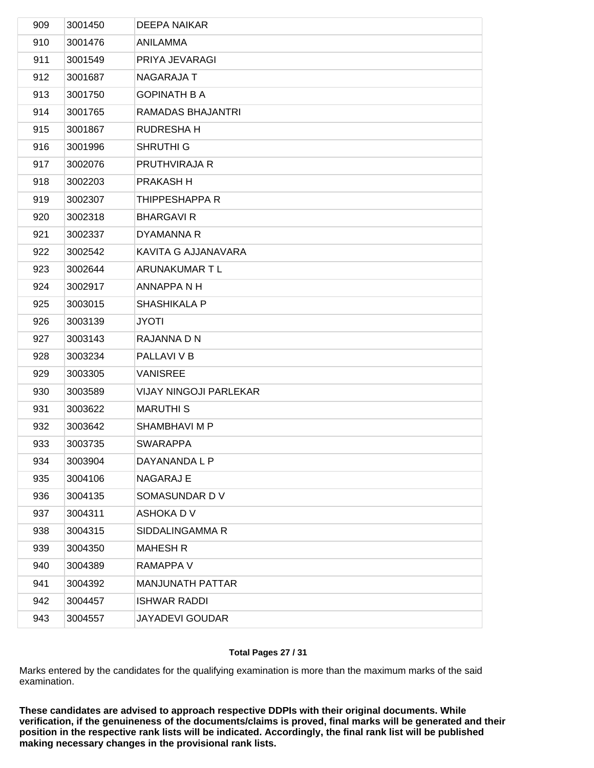| 909 | 3001450 | DEEPA NAIKAR                  |
|-----|---------|-------------------------------|
| 910 | 3001476 | ANILAMMA                      |
| 911 | 3001549 | PRIYA JEVARAGI                |
| 912 | 3001687 | NAGARAJA T                    |
| 913 | 3001750 | <b>GOPINATH B A</b>           |
| 914 | 3001765 | RAMADAS BHAJANTRI             |
| 915 | 3001867 | <b>RUDRESHAH</b>              |
| 916 | 3001996 | <b>SHRUTHI G</b>              |
| 917 | 3002076 | PRUTHVIRAJA R                 |
| 918 | 3002203 | PRAKASH H                     |
| 919 | 3002307 | THIPPESHAPPA R                |
| 920 | 3002318 | <b>BHARGAVIR</b>              |
| 921 | 3002337 | DYAMANNA R                    |
| 922 | 3002542 | KAVITA G AJJANAVARA           |
| 923 | 3002644 | ARUNAKUMAR T L                |
| 924 | 3002917 | ANNAPPA N H                   |
| 925 | 3003015 | <b>SHASHIKALA P</b>           |
| 926 | 3003139 | <b>JYOTI</b>                  |
| 927 | 3003143 | RAJANNA D N                   |
| 928 | 3003234 | PALLAVI V B                   |
| 929 | 3003305 | <b>VANISREE</b>               |
| 930 | 3003589 | <b>VIJAY NINGOJI PARLEKAR</b> |
| 931 | 3003622 | <b>MARUTHIS</b>               |
| 932 | 3003642 | SHAMBHAVI M P                 |
| 933 | 3003735 | <b>SWARAPPA</b>               |
| 934 | 3003904 | DAYANANDA L P                 |
| 935 | 3004106 | NAGARAJ E                     |
| 936 | 3004135 | SOMASUNDAR DV                 |
| 937 | 3004311 | ASHOKA D V                    |
| 938 | 3004315 | SIDDALINGAMMA R               |
| 939 | 3004350 | <b>MAHESH R</b>               |
| 940 | 3004389 | RAMAPPA V                     |
| 941 | 3004392 | MANJUNATH PATTAR              |
| 942 | 3004457 | <b>ISHWAR RADDI</b>           |
| 943 | 3004557 | <b>JAYADEVI GOUDAR</b>        |
|     |         |                               |

## **Total Pages 27 / 31**

Marks entered by the candidates for the qualifying examination is more than the maximum marks of the said examination.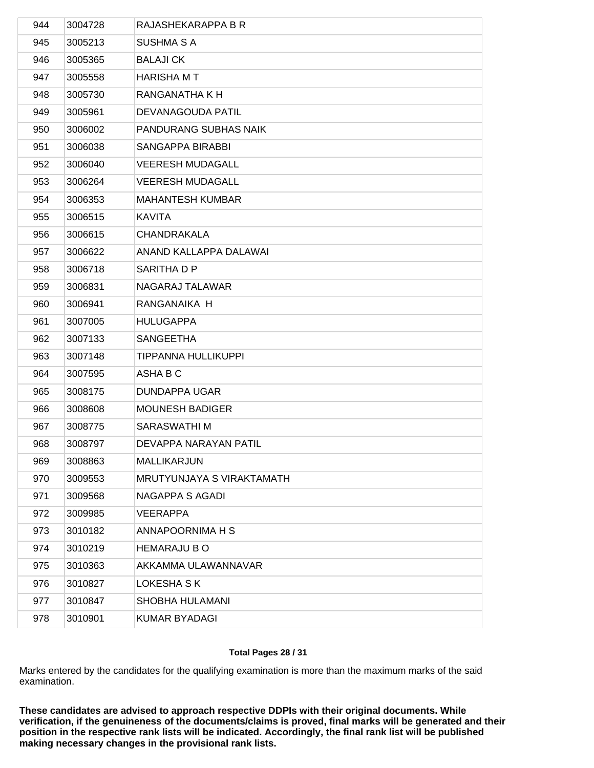| 944 | 3004728 | RAJASHEKARAPPA B R         |
|-----|---------|----------------------------|
| 945 | 3005213 | SUSHMA S A                 |
| 946 | 3005365 | <b>BALAJI CK</b>           |
| 947 | 3005558 | <b>HARISHA M T</b>         |
| 948 | 3005730 | RANGANATHA K H             |
| 949 | 3005961 | DEVANAGOUDA PATIL          |
| 950 | 3006002 | PANDURANG SUBHAS NAIK      |
| 951 | 3006038 | SANGAPPA BIRABBI           |
| 952 | 3006040 | <b>VEERESH MUDAGALL</b>    |
| 953 | 3006264 | <b>VEERESH MUDAGALL</b>    |
| 954 | 3006353 | <b>MAHANTESH KUMBAR</b>    |
| 955 | 3006515 | KAVITA                     |
| 956 | 3006615 | CHANDRAKALA                |
| 957 | 3006622 | ANAND KALLAPPA DALAWAI     |
| 958 | 3006718 | SARITHA D P                |
| 959 | 3006831 | NAGARAJ TALAWAR            |
| 960 | 3006941 | RANGANAIKA H               |
| 961 | 3007005 | <b>HULUGAPPA</b>           |
| 962 | 3007133 | <b>SANGEETHA</b>           |
| 963 | 3007148 | <b>TIPPANNA HULLIKUPPI</b> |
| 964 | 3007595 | ASHA B C                   |
| 965 | 3008175 | DUNDAPPA UGAR              |
| 966 | 3008608 | <b>MOUNESH BADIGER</b>     |
| 967 | 3008775 | SARASWATHI M               |
| 968 | 3008797 | DEVAPPA NARAYAN PATIL      |
| 969 | 3008863 | <b>MALLIKARJUN</b>         |
| 970 | 3009553 | MRUTYUNJAYA S VIRAKTAMATH  |
| 971 | 3009568 | NAGAPPA S AGADI            |
| 972 | 3009985 | <b>VEERAPPA</b>            |
| 973 | 3010182 | ANNAPOORNIMA H S           |
| 974 | 3010219 | <b>HEMARAJU B O</b>        |
| 975 | 3010363 | AKKAMMA ULAWANNAVAR        |
| 976 | 3010827 | LOKESHA S K                |
| 977 | 3010847 | SHOBHA HULAMANI            |
| 978 | 3010901 | <b>KUMAR BYADAGI</b>       |
|     |         |                            |

## **Total Pages 28 / 31**

Marks entered by the candidates for the qualifying examination is more than the maximum marks of the said examination.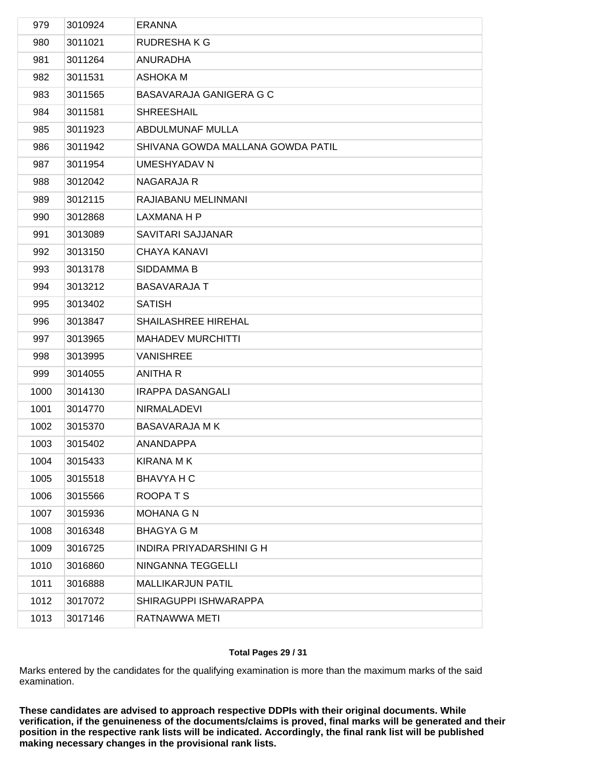| 979  | 3010924 | <b>ERANNA</b>                     |
|------|---------|-----------------------------------|
| 980  | 3011021 | <b>RUDRESHAKG</b>                 |
| 981  | 3011264 | ANURADHA                          |
| 982  | 3011531 | <b>ASHOKA M</b>                   |
| 983  | 3011565 | <b>BASAVARAJA GANIGERA G C</b>    |
| 984  | 3011581 | <b>SHREESHAIL</b>                 |
| 985  | 3011923 | ABDULMUNAF MULLA                  |
| 986  | 3011942 | SHIVANA GOWDA MALLANA GOWDA PATIL |
| 987  | 3011954 | <b>UMESHYADAV N</b>               |
| 988  | 3012042 | NAGARAJA R                        |
| 989  | 3012115 | RAJIABANU MELINMANI               |
| 990  | 3012868 | LAXMANA H P                       |
| 991  | 3013089 | SAVITARI SAJJANAR                 |
| 992  | 3013150 | <b>CHAYA KANAVI</b>               |
| 993  | 3013178 | SIDDAMMA B                        |
| 994  | 3013212 | <b>BASAVARAJA T</b>               |
| 995  | 3013402 | <b>SATISH</b>                     |
| 996  | 3013847 | SHAILASHREE HIREHAL               |
| 997  | 3013965 | <b>MAHADEV MURCHITTI</b>          |
| 998  | 3013995 | <b>VANISHREE</b>                  |
| 999  | 3014055 | ANITHA R                          |
| 1000 | 3014130 | <b>IRAPPA DASANGALI</b>           |
| 1001 | 3014770 | <b>NIRMALADEVI</b>                |
| 1002 | 3015370 | <b>BASAVARAJA M K</b>             |
| 1003 | 3015402 | ANANDAPPA                         |
| 1004 | 3015433 | <b>KIRANA MK</b>                  |
| 1005 | 3015518 | <b>BHAVYA H C</b>                 |
| 1006 | 3015566 | ROOPATS                           |
| 1007 | 3015936 | <b>MOHANA G N</b>                 |
| 1008 | 3016348 | <b>BHAGYA G M</b>                 |
| 1009 | 3016725 | INDIRA PRIYADARSHINI G H          |
| 1010 | 3016860 | NINGANNA TEGGELLI                 |
| 1011 | 3016888 | <b>MALLIKARJUN PATIL</b>          |
| 1012 | 3017072 | SHIRAGUPPI ISHWARAPPA             |
| 1013 | 3017146 | RATNAWWA METI                     |
|      |         |                                   |

## **Total Pages 29 / 31**

Marks entered by the candidates for the qualifying examination is more than the maximum marks of the said examination.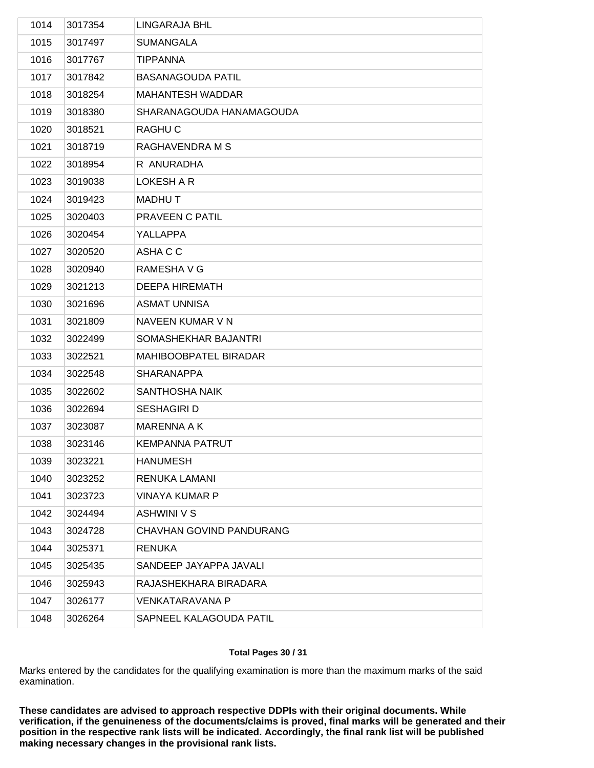| 1014 | 3017354 | LINGARAJA BHL            |
|------|---------|--------------------------|
| 1015 | 3017497 | <b>SUMANGALA</b>         |
| 1016 | 3017767 | <b>TIPPANNA</b>          |
| 1017 | 3017842 | <b>BASANAGOUDA PATIL</b> |
| 1018 | 3018254 | MAHANTESH WADDAR         |
| 1019 | 3018380 | SHARANAGOUDA HANAMAGOUDA |
| 1020 | 3018521 | RAGHU C                  |
| 1021 | 3018719 | RAGHAVENDRA M S          |
| 1022 | 3018954 | R ANURADHA               |
| 1023 | 3019038 | LOKESH A R               |
| 1024 | 3019423 | <b>MADHUT</b>            |
| 1025 | 3020403 | PRAVEEN C PATIL          |
| 1026 | 3020454 | YALLAPPA                 |
| 1027 | 3020520 | ASHA C C                 |
| 1028 | 3020940 | RAMESHA V G              |
| 1029 | 3021213 | <b>DEEPA HIREMATH</b>    |
| 1030 | 3021696 | <b>ASMAT UNNISA</b>      |
| 1031 | 3021809 | NAVEEN KUMAR V N         |
| 1032 | 3022499 | SOMASHEKHAR BAJANTRI     |
| 1033 | 3022521 | MAHIBOOBPATEL BIRADAR    |
| 1034 | 3022548 | <b>SHARANAPPA</b>        |
| 1035 | 3022602 | <b>SANTHOSHA NAIK</b>    |
| 1036 | 3022694 | <b>SESHAGIRI D</b>       |
| 1037 | 3023087 | <b>MARENNA A K</b>       |
| 1038 | 3023146 | <b>KEMPANNA PATRUT</b>   |
| 1039 | 3023221 | <b>HANUMESH</b>          |
| 1040 | 3023252 | <b>RENUKA LAMANI</b>     |
| 1041 | 3023723 | <b>VINAYA KUMAR P</b>    |
| 1042 | 3024494 | <b>ASHWINI V S</b>       |
| 1043 | 3024728 | CHAVHAN GOVIND PANDURANG |
| 1044 | 3025371 | <b>RENUKA</b>            |
| 1045 | 3025435 | SANDEEP JAYAPPA JAVALI   |
| 1046 | 3025943 | RAJASHEKHARA BIRADARA    |
| 1047 | 3026177 | <b>VENKATARAVANA P</b>   |
| 1048 | 3026264 | SAPNEEL KALAGOUDA PATIL  |
|      |         |                          |

## **Total Pages 30 / 31**

Marks entered by the candidates for the qualifying examination is more than the maximum marks of the said examination.